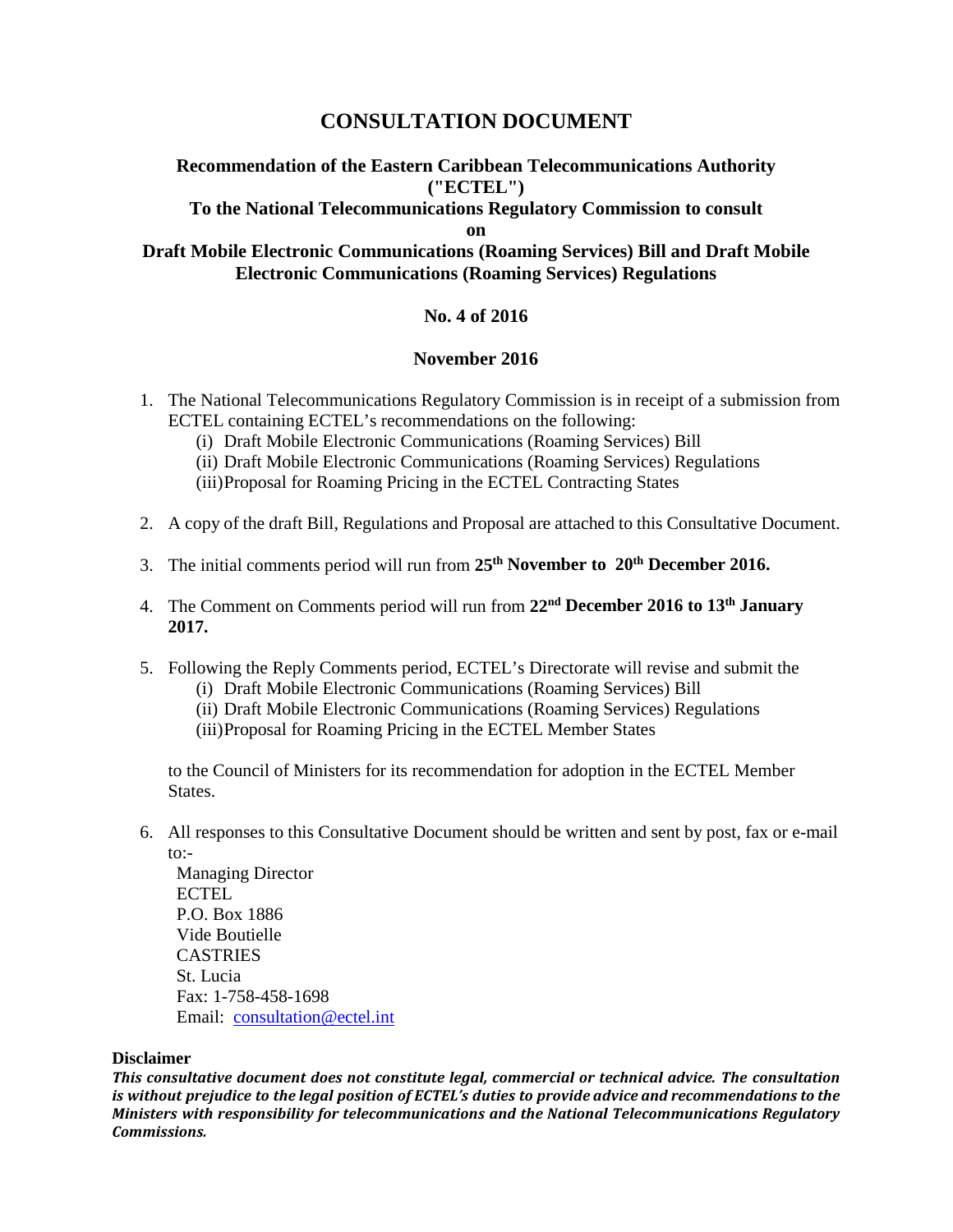# **CONSULTATION DOCUMENT**

# **Recommendation of the Eastern Caribbean Telecommunications Authority ("ECTEL")**

## **To the National Telecommunications Regulatory Commission to consult**

**on**

# **Draft Mobile Electronic Communications (Roaming Services) Bill and Draft Mobile Electronic Communications (Roaming Services) Regulations**

# **No. 4 of 2016**

### **November 2016**

- 1. The National Telecommunications Regulatory Commission is in receipt of a submission from ECTEL containing ECTEL's recommendations on the following:
	- (i) Draft Mobile Electronic Communications (Roaming Services) Bill
	- (ii) Draft Mobile Electronic Communications (Roaming Services) Regulations
	- (iii)Proposal for Roaming Pricing in the ECTEL Contracting States
- 2. A copy of the draft Bill, Regulations and Proposal are attached to this Consultative Document.
- 3. The initial comments period will run from **25th November to 20th December 2016.**
- 4. The Comment on Comments period will run from **22nd December 2016 to 13th January 2017.**
- 5. Following the Reply Comments period, ECTEL's Directorate will revise and submit the
	- (i) Draft Mobile Electronic Communications (Roaming Services) Bill
	- (ii) Draft Mobile Electronic Communications (Roaming Services) Regulations
	- (iii)Proposal for Roaming Pricing in the ECTEL Member States

to the Council of Ministers for its recommendation for adoption in the ECTEL Member States.

6. All responses to this Consultative Document should be written and sent by post, fax or e-mail to:-

Managing Director ECTEL P.O. Box 1886 Vide Boutielle **CASTRIES** St. Lucia Fax: 1-758-458-1698 Email: [consultation@ectel.int](mailto:consultation@ectel.int)

#### **Disclaimer**

*This consultative document does not constitute legal, commercial or technical advice. The consultation is without prejudice to the legal position of ECTEL's duties to provide advice and recommendations to the Ministers with responsibility for telecommunications and the National Telecommunications Regulatory Commissions.*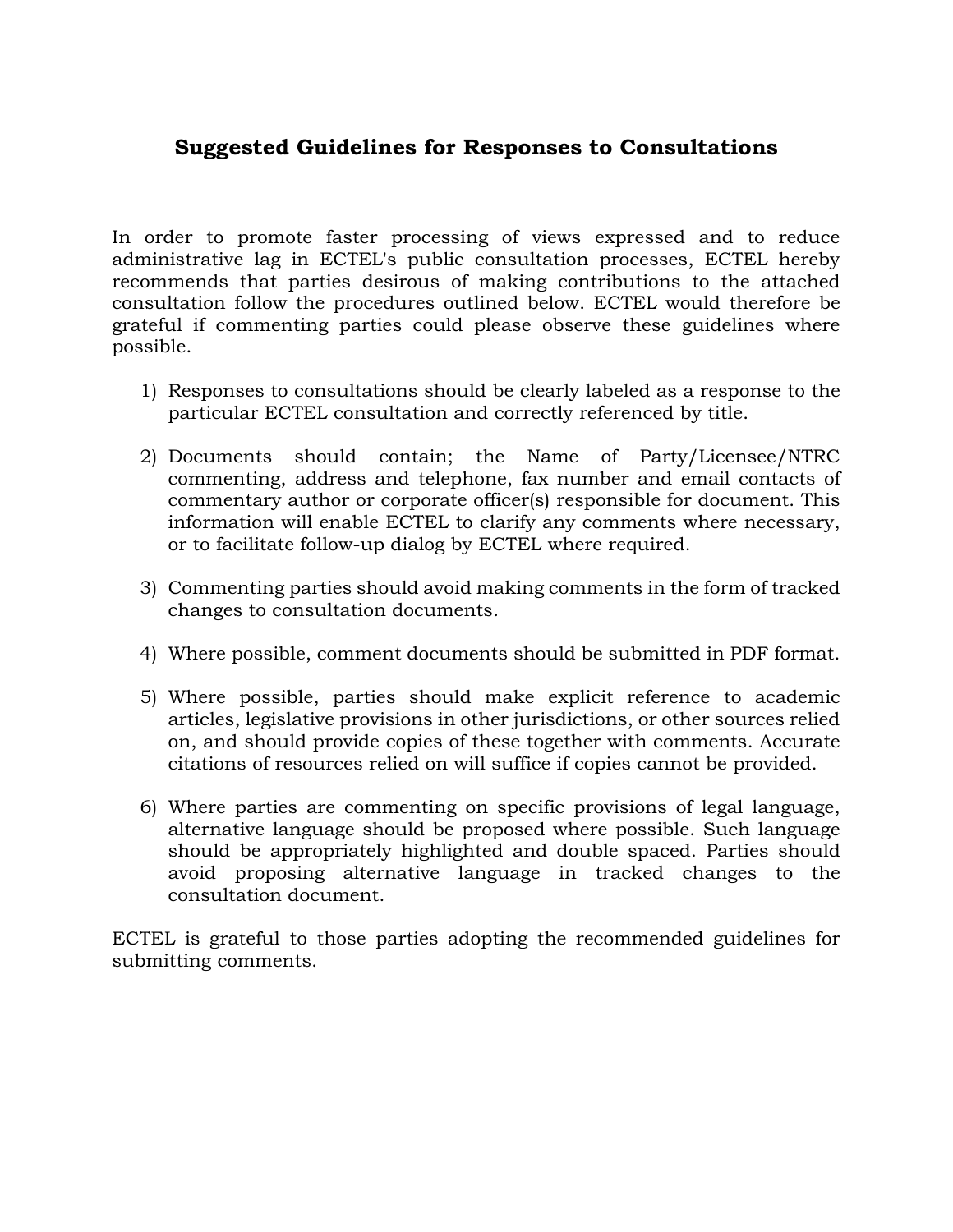# **Suggested Guidelines for Responses to Consultations**

In order to promote faster processing of views expressed and to reduce administrative lag in ECTEL's public consultation processes, ECTEL hereby recommends that parties desirous of making contributions to the attached consultation follow the procedures outlined below. ECTEL would therefore be grateful if commenting parties could please observe these guidelines where possible.

- 1) Responses to consultations should be clearly labeled as a response to the particular ECTEL consultation and correctly referenced by title.
- 2) Documents should contain; the Name of Party/Licensee/NTRC commenting, address and telephone, fax number and email contacts of commentary author or corporate officer(s) responsible for document. This information will enable ECTEL to clarify any comments where necessary, or to facilitate follow-up dialog by ECTEL where required.
- 3) Commenting parties should avoid making comments in the form of tracked changes to consultation documents.
- 4) Where possible, comment documents should be submitted in PDF format.
- 5) Where possible, parties should make explicit reference to academic articles, legislative provisions in other jurisdictions, or other sources relied on, and should provide copies of these together with comments. Accurate citations of resources relied on will suffice if copies cannot be provided.
- 6) Where parties are commenting on specific provisions of legal language, alternative language should be proposed where possible. Such language should be appropriately highlighted and double spaced. Parties should avoid proposing alternative language in tracked changes to the consultation document.

ECTEL is grateful to those parties adopting the recommended guidelines for submitting comments.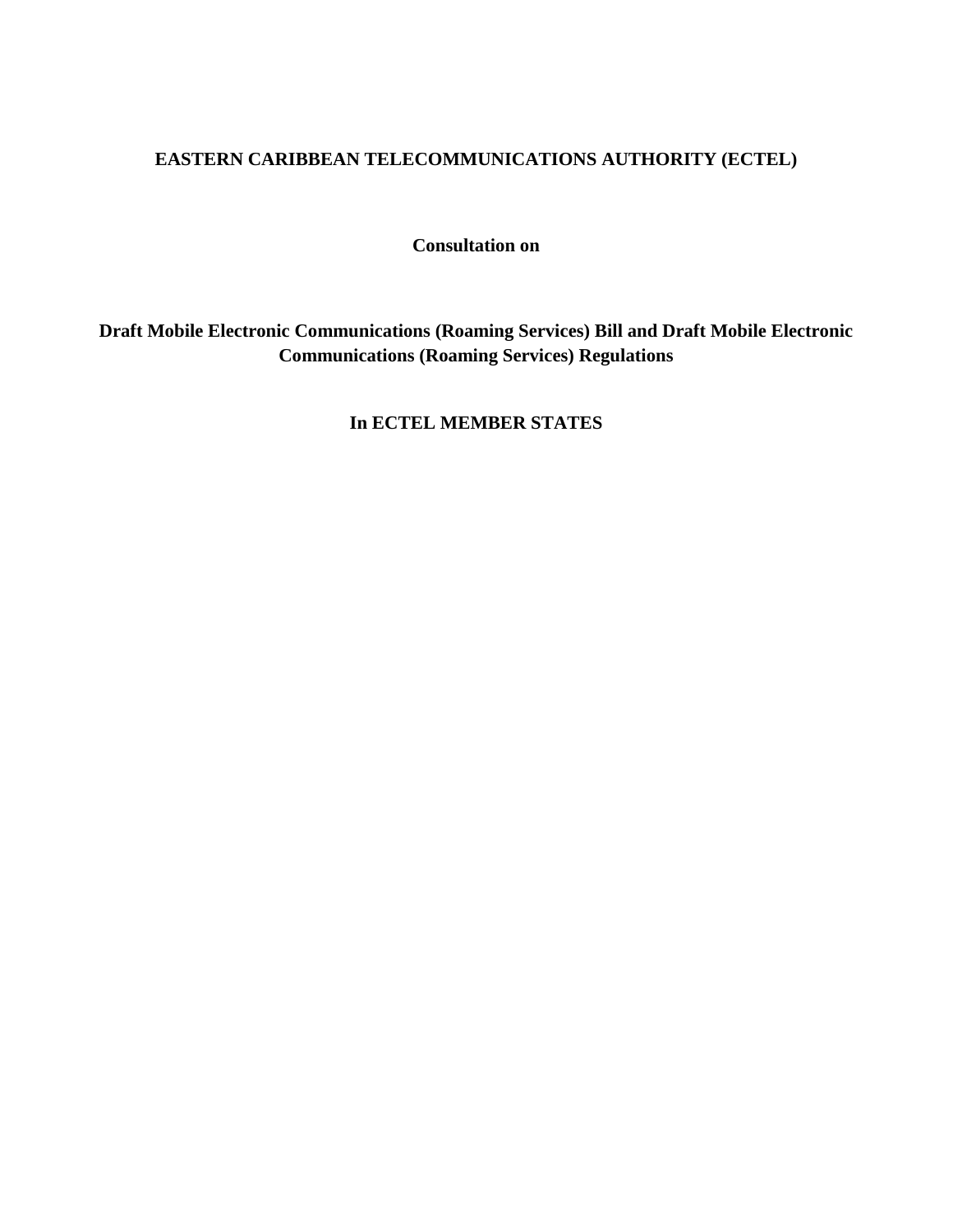# **EASTERN CARIBBEAN TELECOMMUNICATIONS AUTHORITY (ECTEL)**

**Consultation on**

**Draft Mobile Electronic Communications (Roaming Services) Bill and Draft Mobile Electronic Communications (Roaming Services) Regulations**

**In ECTEL MEMBER STATES**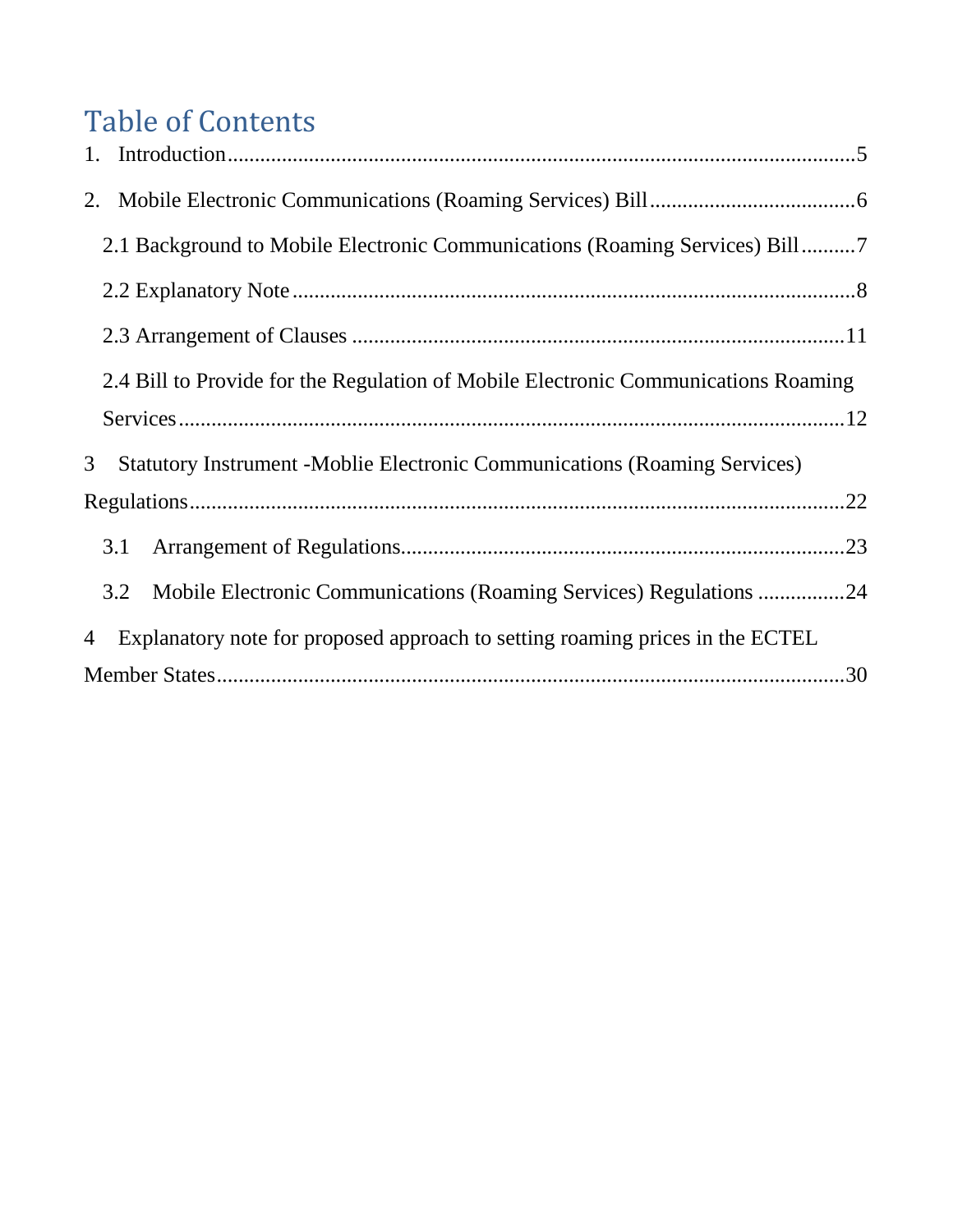# Table of Contents

|                |                                                                                    | 2.1 Background to Mobile Electronic Communications (Roaming Services) Bill7       |  |  |  |
|----------------|------------------------------------------------------------------------------------|-----------------------------------------------------------------------------------|--|--|--|
|                |                                                                                    |                                                                                   |  |  |  |
|                |                                                                                    |                                                                                   |  |  |  |
|                | 2.4 Bill to Provide for the Regulation of Mobile Electronic Communications Roaming |                                                                                   |  |  |  |
|                |                                                                                    |                                                                                   |  |  |  |
| 3 <sup>1</sup> |                                                                                    | <b>Statutory Instrument - Moblie Electronic Communications (Roaming Services)</b> |  |  |  |
|                |                                                                                    |                                                                                   |  |  |  |
|                | 3.1                                                                                |                                                                                   |  |  |  |
|                | 3.2                                                                                | Mobile Electronic Communications (Roaming Services) Regulations 24                |  |  |  |
| 4              |                                                                                    | Explanatory note for proposed approach to setting roaming prices in the ECTEL     |  |  |  |
|                |                                                                                    |                                                                                   |  |  |  |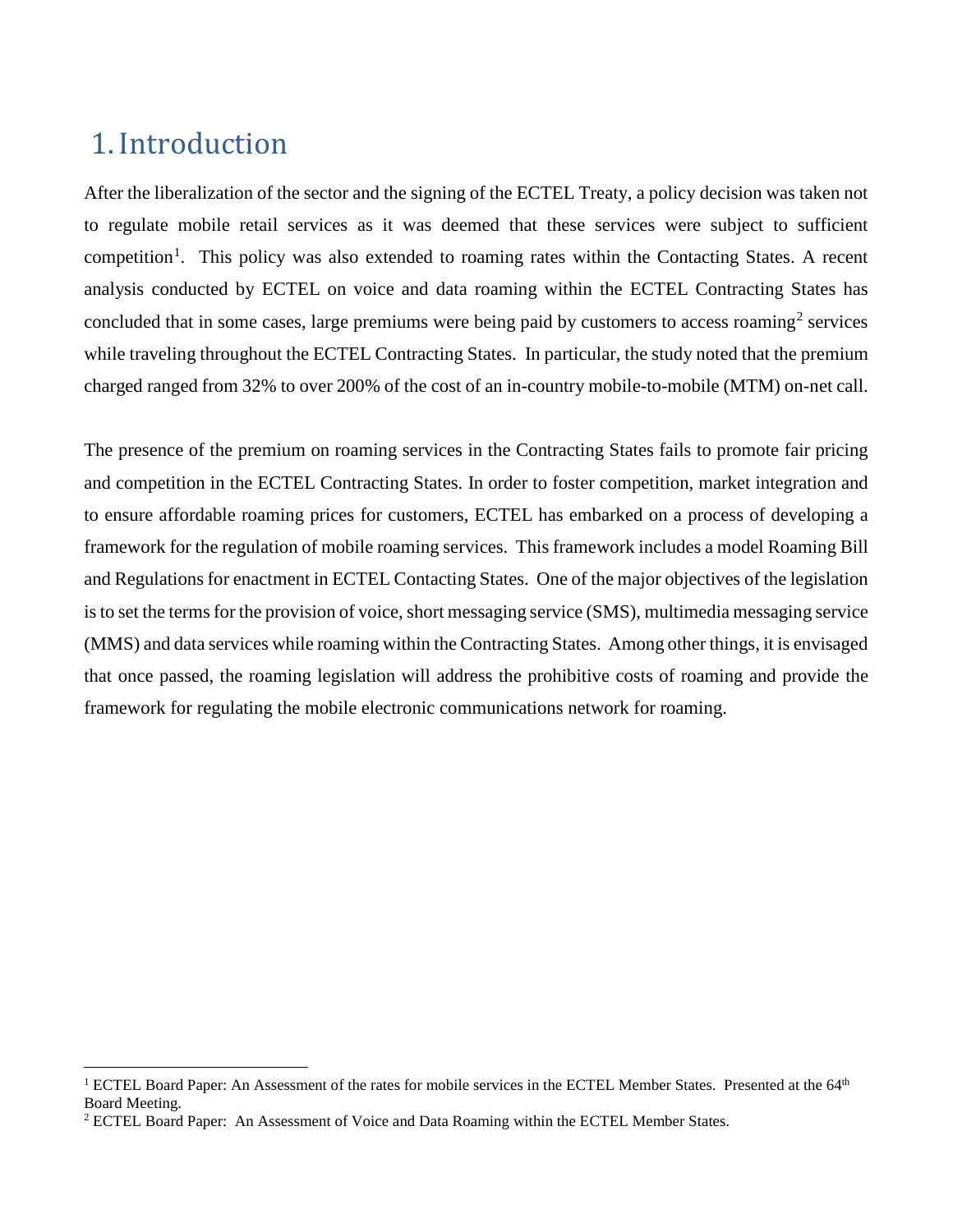# <span id="page-4-0"></span>1.Introduction

After the liberalization of the sector and the signing of the ECTEL Treaty, a policy decision was taken not to regulate mobile retail services as it was deemed that these services were subject to sufficient competition<sup>[1](#page-4-1)</sup>. This policy was also extended to roaming rates within the Contacting States. A recent analysis conducted by ECTEL on voice and data roaming within the ECTEL Contracting States has concluded that in some cases, large premiums were being paid by customers to access roaming<sup>[2](#page-4-2)</sup> services while traveling throughout the ECTEL Contracting States. In particular, the study noted that the premium charged ranged from 32% to over 200% of the cost of an in-country mobile-to-mobile (MTM) on-net call.

The presence of the premium on roaming services in the Contracting States fails to promote fair pricing and competition in the ECTEL Contracting States. In order to foster competition, market integration and to ensure affordable roaming prices for customers, ECTEL has embarked on a process of developing a framework for the regulation of mobile roaming services. This framework includes a model Roaming Bill and Regulations for enactment in ECTEL Contacting States. One of the major objectives of the legislation is to set the terms for the provision of voice, short messaging service (SMS), multimedia messaging service (MMS) and data services while roaming within the Contracting States. Among other things, it is envisaged that once passed, the roaming legislation will address the prohibitive costs of roaming and provide the framework for regulating the mobile electronic communications network for roaming.

<span id="page-4-1"></span><sup>&</sup>lt;sup>1</sup> ECTEL Board Paper: An Assessment of the rates for mobile services in the ECTEL Member States. Presented at the 64<sup>th</sup> Board Meeting.

<span id="page-4-2"></span><sup>&</sup>lt;sup>2</sup> ECTEL Board Paper: An Assessment of Voice and Data Roaming within the ECTEL Member States.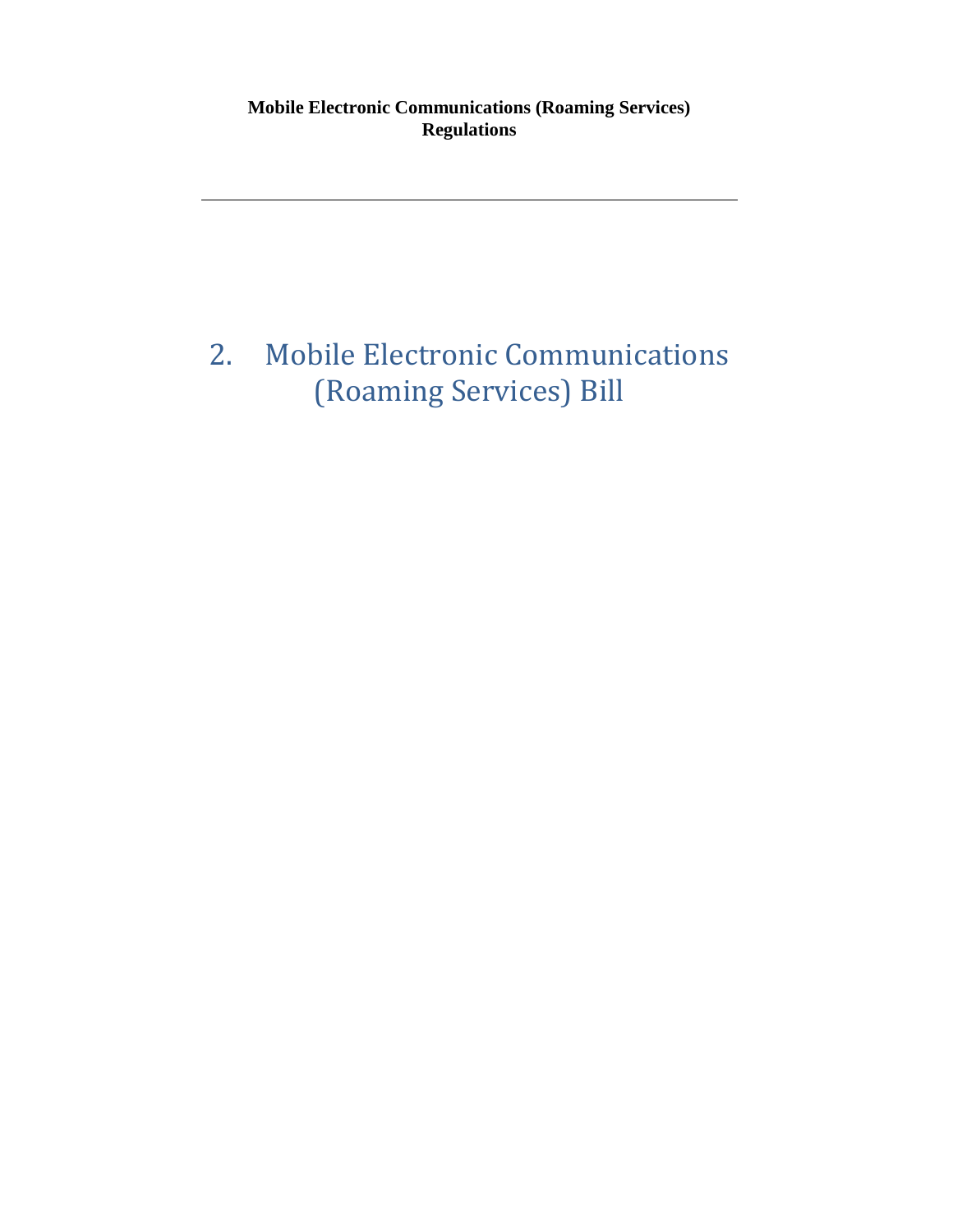**Mobile Electronic Communications (Roaming Services) Regulations**

# <span id="page-5-0"></span>2. Mobile Electronic Communications (Roaming Services) Bill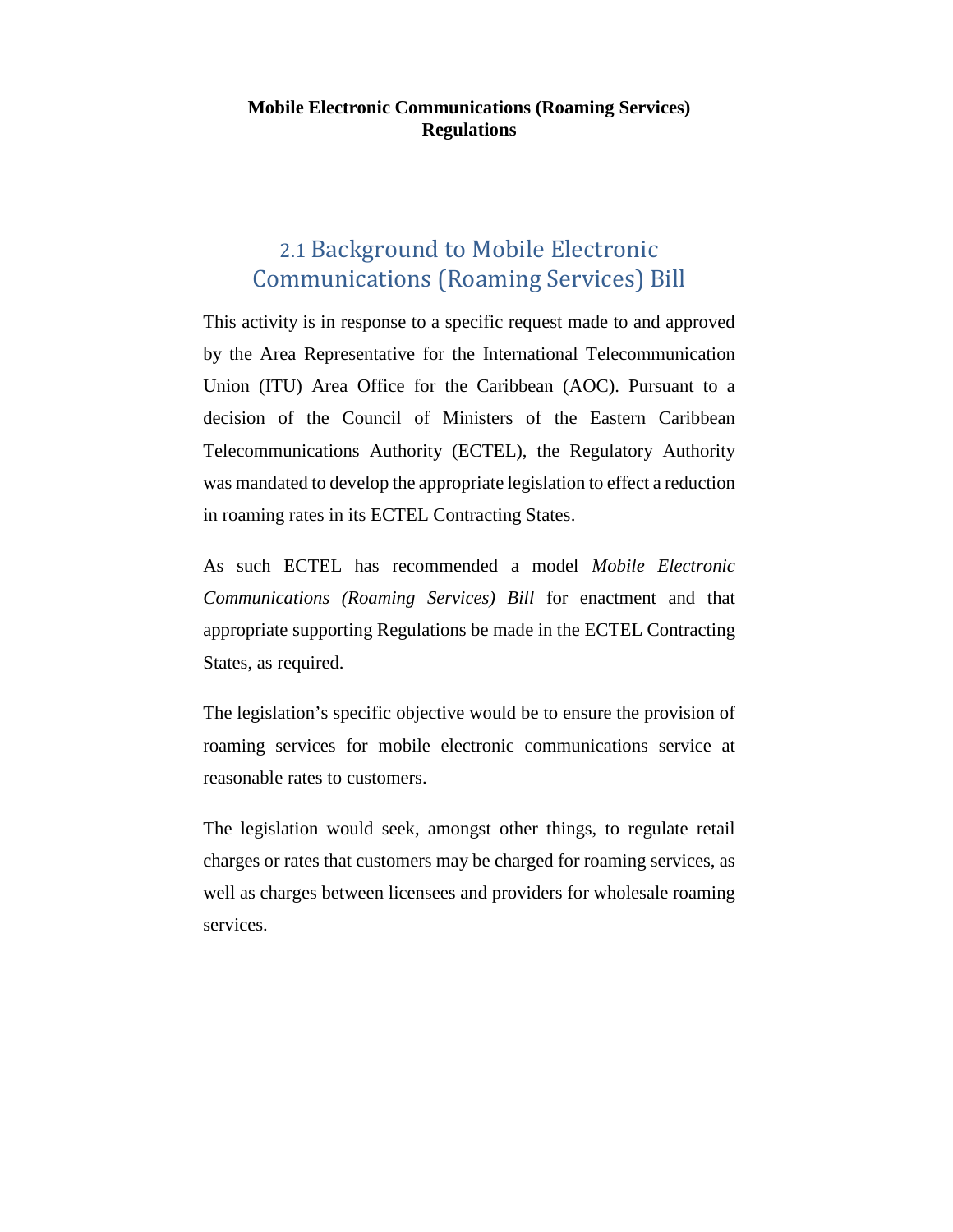# <span id="page-6-0"></span>2.1 Background to Mobile Electronic Communications (Roaming Services) Bill

This activity is in response to a specific request made to and approved by the Area Representative for the International Telecommunication Union (ITU) Area Office for the Caribbean (AOC). Pursuant to a decision of the Council of Ministers of the Eastern Caribbean Telecommunications Authority (ECTEL), the Regulatory Authority was mandated to develop the appropriate legislation to effect a reduction in roaming rates in its ECTEL Contracting States.

As such ECTEL has recommended a model *Mobile Electronic Communications (Roaming Services) Bill* for enactment and that appropriate supporting Regulations be made in the ECTEL Contracting States, as required.

The legislation's specific objective would be to ensure the provision of roaming services for mobile electronic communications service at reasonable rates to customers.

The legislation would seek, amongst other things, to regulate retail charges or rates that customers may be charged for roaming services, as well as charges between licensees and providers for wholesale roaming services.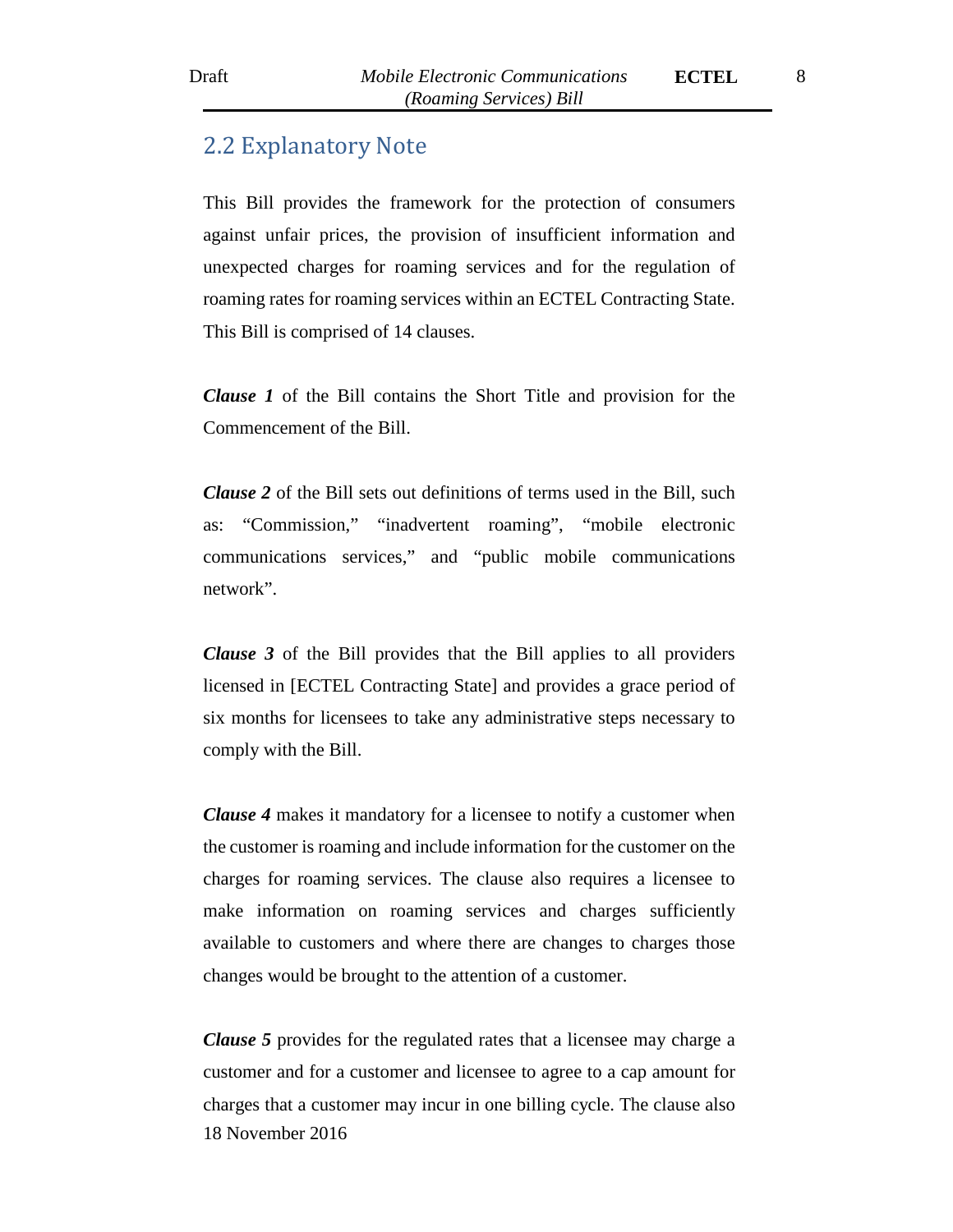# <span id="page-7-0"></span>2.2 Explanatory Note

This Bill provides the framework for the protection of consumers against unfair prices, the provision of insufficient information and unexpected charges for roaming services and for the regulation of roaming rates for roaming services within an ECTEL Contracting State. This Bill is comprised of 14 clauses.

*Clause 1* of the Bill contains the Short Title and provision for the Commencement of the Bill.

*Clause 2* of the Bill sets out definitions of terms used in the Bill, such as: "Commission," "inadvertent roaming", "mobile electronic communications services," and "public mobile communications network".

*Clause 3* of the Bill provides that the Bill applies to all providers licensed in [ECTEL Contracting State] and provides a grace period of six months for licensees to take any administrative steps necessary to comply with the Bill.

*Clause 4* makes it mandatory for a licensee to notify a customer when the customer is roaming and include information for the customer on the charges for roaming services. The clause also requires a licensee to make information on roaming services and charges sufficiently available to customers and where there are changes to charges those changes would be brought to the attention of a customer.

18 November 2016 *Clause 5* provides for the regulated rates that a licensee may charge a customer and for a customer and licensee to agree to a cap amount for charges that a customer may incur in one billing cycle. The clause also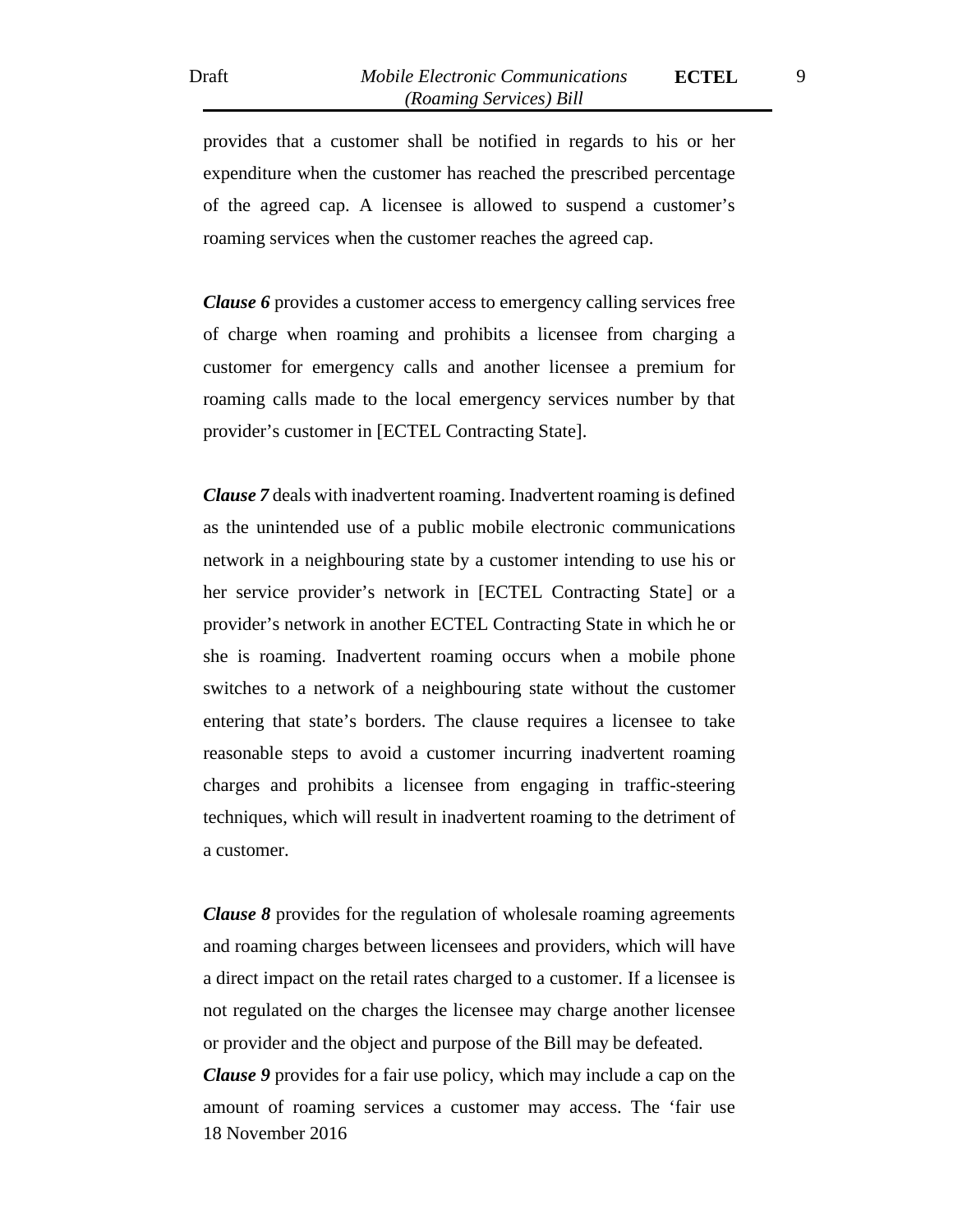provides that a customer shall be notified in regards to his or her expenditure when the customer has reached the prescribed percentage of the agreed cap. A licensee is allowed to suspend a customer's roaming services when the customer reaches the agreed cap.

*Clause 6* provides a customer access to emergency calling services free of charge when roaming and prohibits a licensee from charging a customer for emergency calls and another licensee a premium for roaming calls made to the local emergency services number by that provider's customer in [ECTEL Contracting State].

*Clause 7* deals with inadvertent roaming. Inadvertent roaming is defined as the unintended use of a public mobile electronic communications network in a neighbouring state by a customer intending to use his or her service provider's network in [ECTEL Contracting State] or a provider's network in another ECTEL Contracting State in which he or she is roaming. Inadvertent roaming occurs when a mobile phone switches to a network of a neighbouring state without the customer entering that state's borders. The clause requires a licensee to take reasonable steps to avoid a customer incurring inadvertent roaming charges and prohibits a licensee from engaging in traffic-steering techniques, which will result in inadvertent roaming to the detriment of a customer.

*Clause 8* provides for the regulation of wholesale roaming agreements and roaming charges between licensees and providers, which will have a direct impact on the retail rates charged to a customer. If a licensee is not regulated on the charges the licensee may charge another licensee or provider and the object and purpose of the Bill may be defeated.

18 November 2016 *Clause 9* provides for a fair use policy, which may include a cap on the amount of roaming services a customer may access. The 'fair use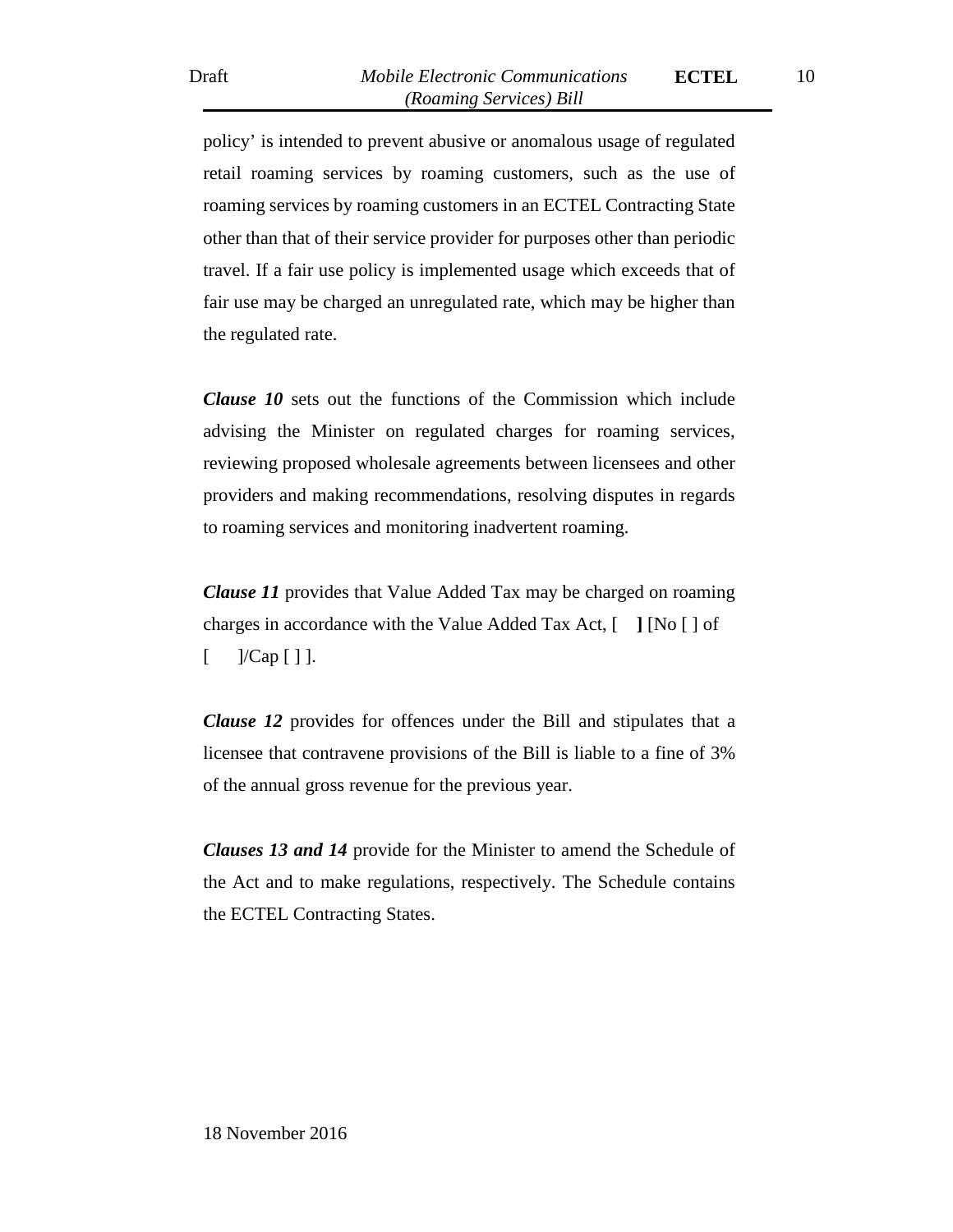policy' is intended to prevent abusive or anomalous usage of regulated retail roaming services by roaming customers, such as the use of roaming services by roaming customers in an ECTEL Contracting State other than that of their service provider for purposes other than periodic travel. If a fair use policy is implemented usage which exceeds that of fair use may be charged an unregulated rate, which may be higher than the regulated rate.

*Clause 10* sets out the functions of the Commission which include advising the Minister on regulated charges for roaming services, reviewing proposed wholesale agreements between licensees and other providers and making recommendations, resolving disputes in regards to roaming services and monitoring inadvertent roaming.

*Clause 11* provides that Value Added Tax may be charged on roaming charges in accordance with the Value Added Tax Act, [ **]** [No [ ] of  $[$  ]/Cap  $[$  ] ].

*Clause 12* provides for offences under the Bill and stipulates that a licensee that contravene provisions of the Bill is liable to a fine of 3% of the annual gross revenue for the previous year.

*Clauses 13 and 14* provide for the Minister to amend the Schedule of the Act and to make regulations, respectively. The Schedule contains the ECTEL Contracting States.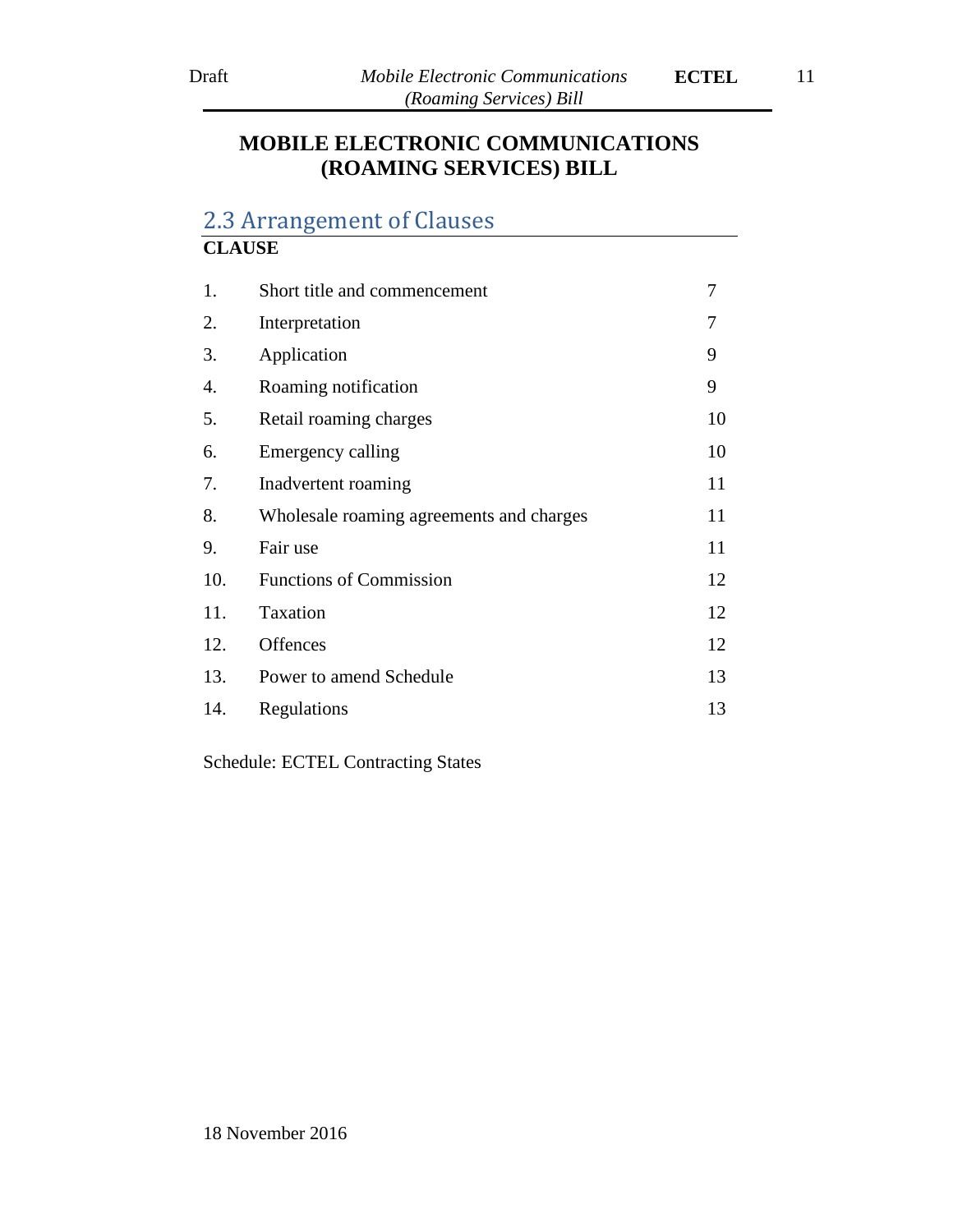# **MOBILE ELECTRONIC COMMUNICATIONS (ROAMING SERVICES) BILL**

# <span id="page-10-0"></span>2.3 Arrangement of Clauses

# **CLAUSE** 1. Short title and commencement 7 2. Interpretation 7 3. Application 9 4. Roaming notification 9 5. Retail roaming charges 10 6. Emergency calling 10 7. Inadvertent roaming 11 8. Wholesale roaming agreements and charges 11 9. Fair use 11 10. Functions of Commission 12 11. Taxation 12 12. Offences 12 13. Power to amend Schedule 13 14. Regulations 13

Schedule: ECTEL Contracting States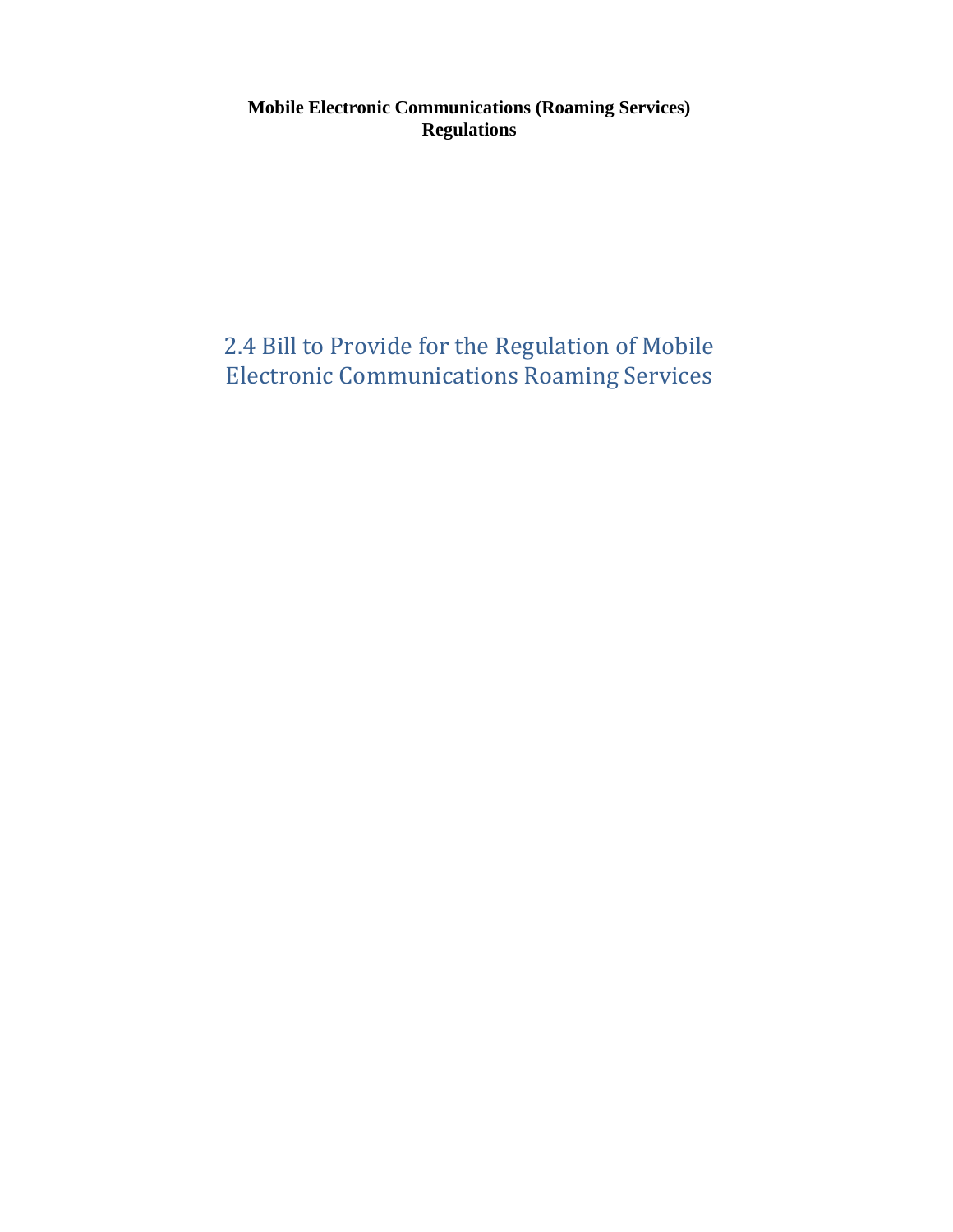# **Mobile Electronic Communications (Roaming Services) Regulations**

# <span id="page-11-0"></span>2.4 Bill to Provide for the Regulation of Mobile Electronic Communications Roaming Services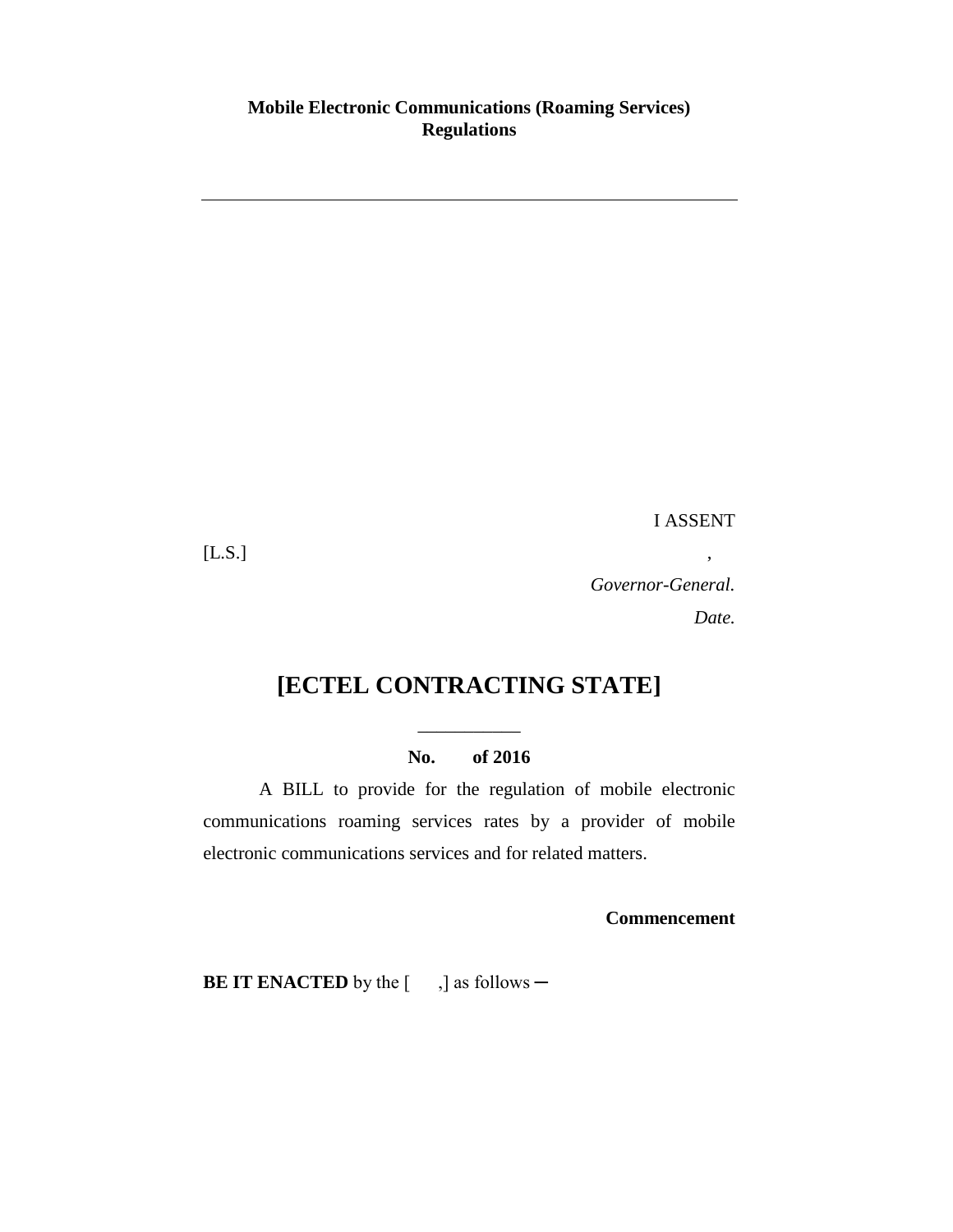# **Mobile Electronic Communications (Roaming Services) Regulations**

I ASSENT

 $[LS.]$ ,

*Governor-General. Date.*

# **[ECTEL CONTRACTING STATE]**

# **No. of 2016**

\_\_\_\_\_\_\_\_\_\_\_

A BILL to provide for the regulation of mobile electronic communications roaming services rates by a provider of mobile electronic communications services and for related matters.

**Commencement**

**BE IT ENACTED** by the [ ,] as follows —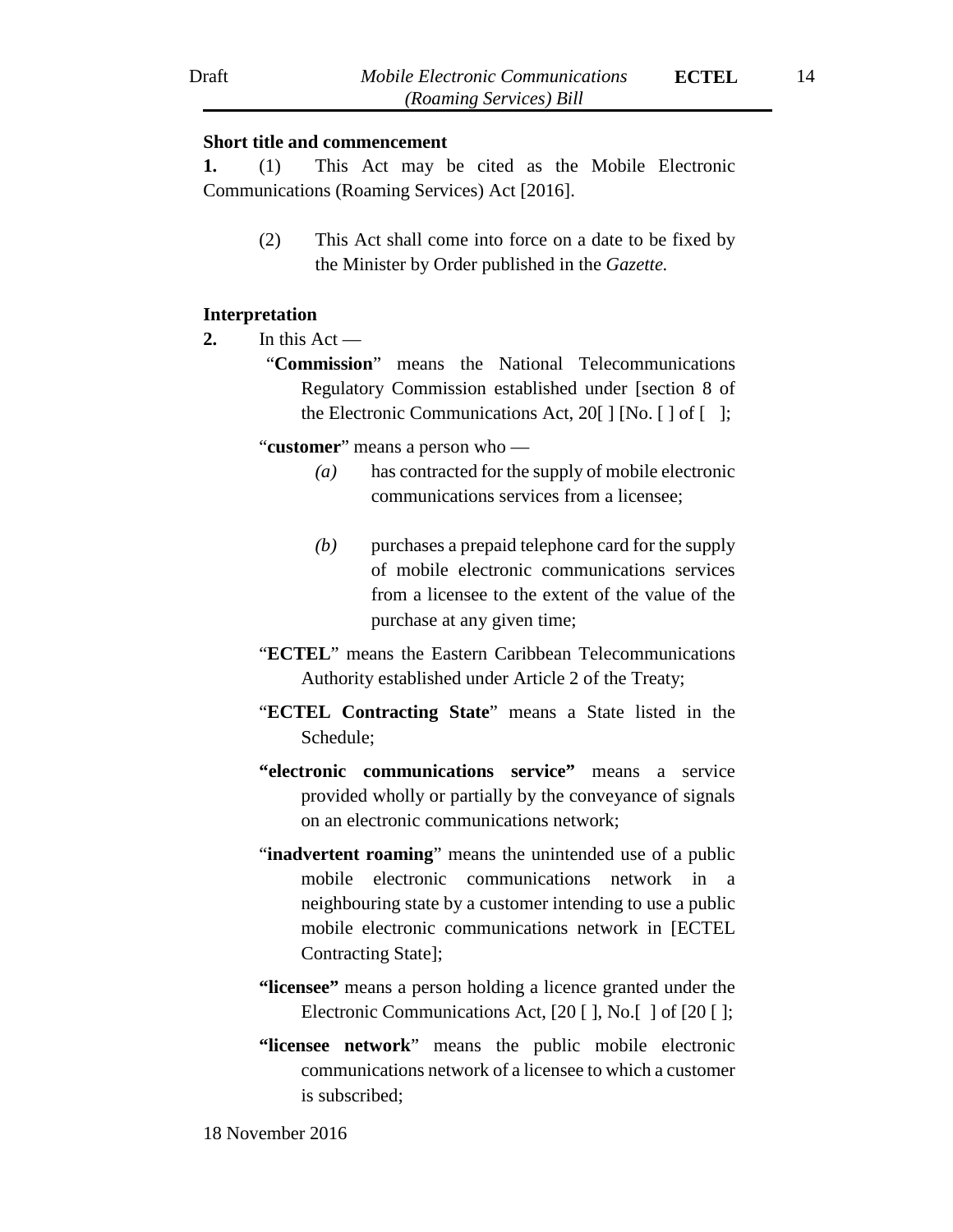#### **Short title and commencement**

**1.** (1) This Act may be cited as the Mobile Electronic Communications (Roaming Services) Act [2016].

> (2) This Act shall come into force on a date to be fixed by the Minister by Order published in the *Gazette.*

#### **Interpretation**

- **2.** In this Act
	- "**Commission**" means the National Telecommunications Regulatory Commission established under [section 8 of the Electronic Communications Act, 20[ ] [No. [ ] of [ ];

#### "**customer**" means a person who —

- *(a)* has contracted for the supply of mobile electronic communications services from a licensee;
- *(b)* purchases a prepaid telephone card for the supply of mobile electronic communications services from a licensee to the extent of the value of the purchase at any given time;
- "**ECTEL**" means the Eastern Caribbean Telecommunications Authority established under Article 2 of the Treaty;
- "**ECTEL Contracting State**" means a State listed in the Schedule;
- **"electronic communications service"** means a service provided wholly or partially by the conveyance of signals on an electronic communications network;
- "**inadvertent roaming**" means the unintended use of a public mobile electronic communications network in a neighbouring state by a customer intending to use a public mobile electronic communications network in [ECTEL Contracting State];
- **"licensee"** means a person holding a licence granted under the Electronic Communications Act, [20 [], No. [] of [20 [];
- **"licensee network**" means the public mobile electronic communications network of a licensee to which a customer is subscribed;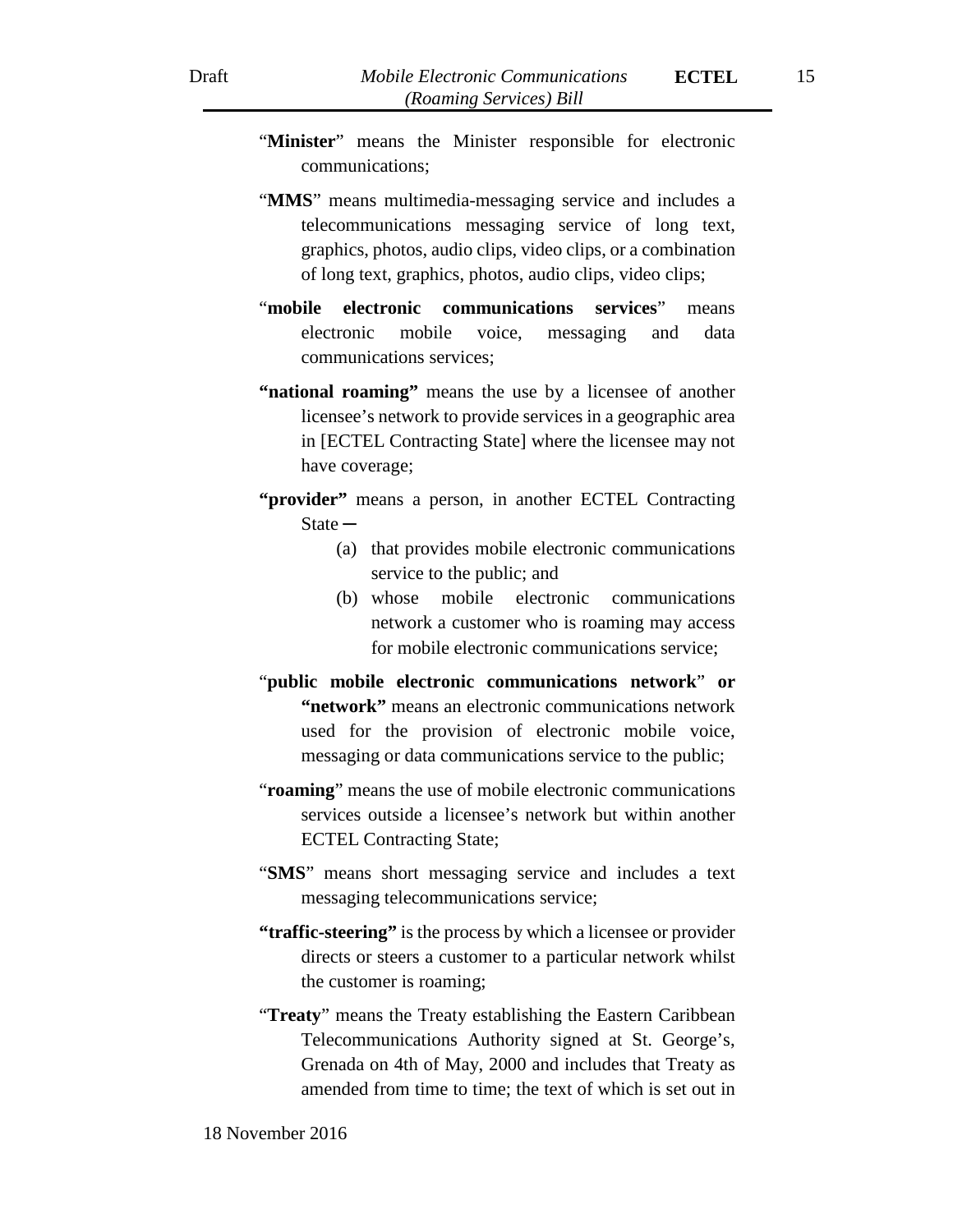- "**Minister**" means the Minister responsible for electronic communications;
- "**MMS**" means multimedia-messaging service and includes a telecommunications messaging service of long text, graphics, photos, audio clips, video clips, or a combination of long text, graphics, photos, audio clips, video clips;
- "**mobile electronic communications services**" means electronic mobile voice, messaging and data communications services;
- **"national roaming"** means the use by a licensee of another licensee's network to provide services in a geographic area in [ECTEL Contracting State] where the licensee may not have coverage;
- **"provider"** means a person, in another ECTEL Contracting State **─**
	- (a) that provides mobile electronic communications service to the public; and
	- (b) whose mobile electronic communications network a customer who is roaming may access for mobile electronic communications service;
- "**public mobile electronic communications network**" **or "network"** means an electronic communications network used for the provision of electronic mobile voice, messaging or data communications service to the public;
- "**roaming**" means the use of mobile electronic communications services outside a licensee's network but within another ECTEL Contracting State;
- "**SMS**" means short messaging service and includes a text messaging telecommunications service;
- **"traffic-steering"** is the process by which a licensee or provider directs or steers a customer to a particular network whilst the customer is roaming;
- "**Treaty**" means the Treaty establishing the Eastern Caribbean Telecommunications Authority signed at St. George's, Grenada on 4th of May, 2000 and includes that Treaty as amended from time to time; the text of which is set out in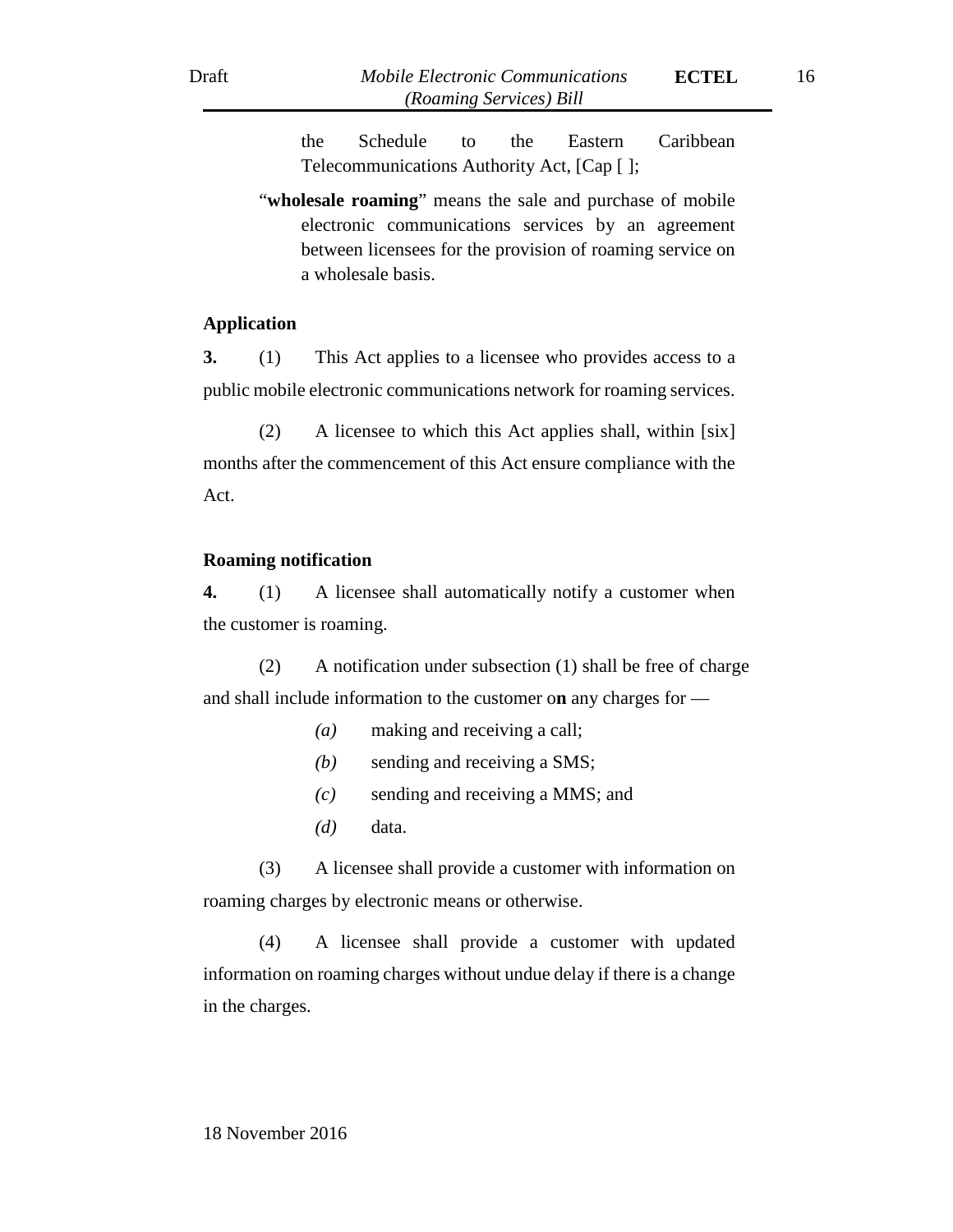the Schedule to the Eastern Caribbean Telecommunications Authority Act, [Cap [ ];

"wholesale roaming" means the sale and purchase of mobile electronic communications services by an agreement between licensees for the provision of roaming service on a wholesale basis.

#### **Application**

**3.** (1) This Act applies to a licensee who provides access to a public mobile electronic communications network for roaming services.

(2) A licensee to which this Act applies shall, within [six] months after the commencement of this Act ensure compliance with the Act.

#### **Roaming notification**

**4.** (1) A licensee shall automatically notify a customer when the customer is roaming.

(2) A notification under subsection (1) shall be free of charge and shall include information to the customer o**n** any charges for —

- *(a)* making and receiving a call;
- *(b)* sending and receiving a SMS;
- *(c)* sending and receiving a MMS; and
- *(d)* data.

(3) A licensee shall provide a customer with information on roaming charges by electronic means or otherwise.

(4) A licensee shall provide a customer with updated information on roaming charges without undue delay if there is a change in the charges.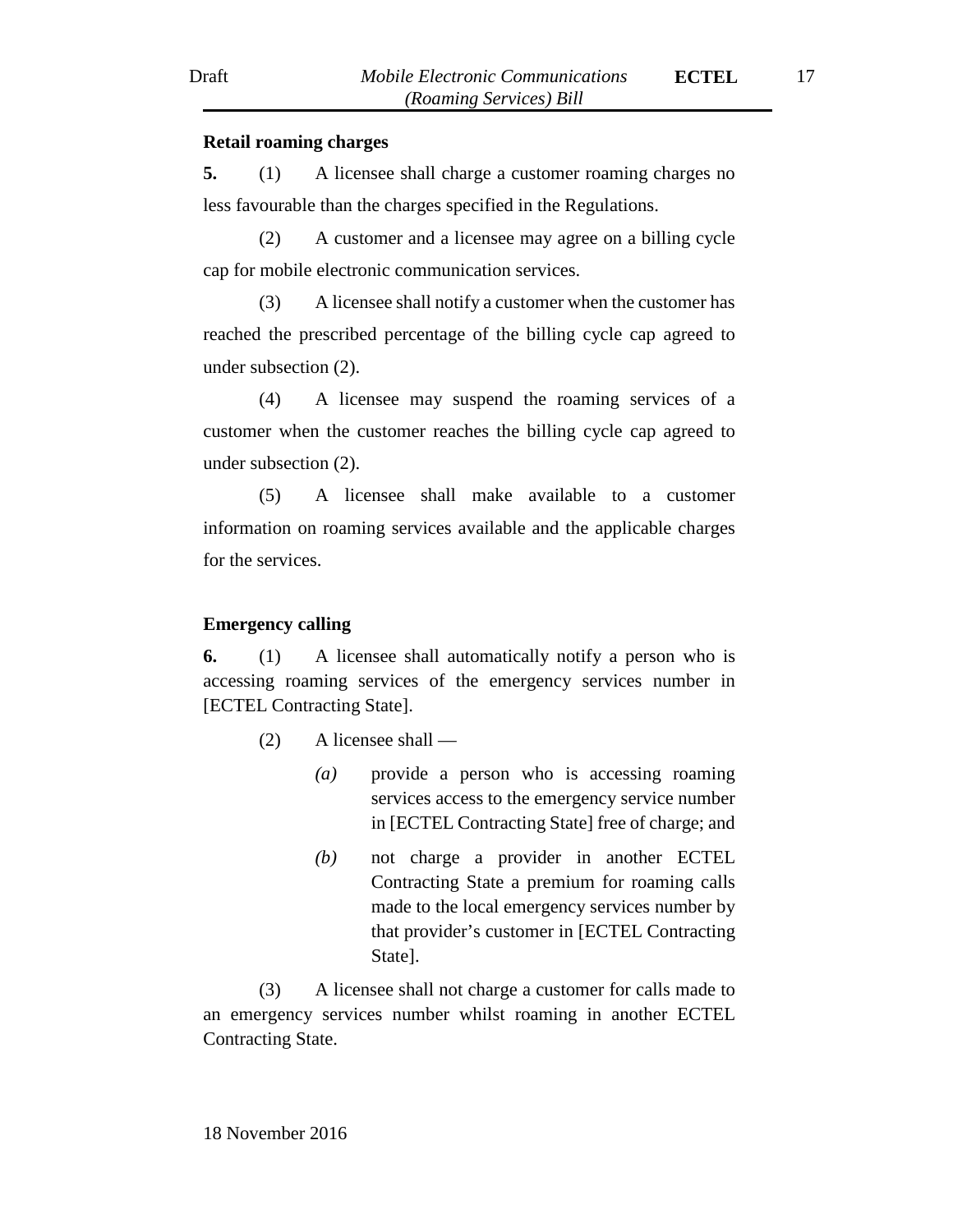#### **Retail roaming charges**

**5.** (1) A licensee shall charge a customer roaming charges no less favourable than the charges specified in the Regulations.

(2) A customer and a licensee may agree on a billing cycle cap for mobile electronic communication services.

(3) A licensee shall notify a customer when the customer has reached the prescribed percentage of the billing cycle cap agreed to under subsection (2).

(4) A licensee may suspend the roaming services of a customer when the customer reaches the billing cycle cap agreed to under subsection (2).

(5) A licensee shall make available to a customer information on roaming services available and the applicable charges for the services.

## **Emergency calling**

**6.** (1) A licensee shall automatically notify a person who is accessing roaming services of the emergency services number in [ECTEL Contracting State].

- (2) A licensee shall
	- *(a)* provide a person who is accessing roaming services access to the emergency service number in [ECTEL Contracting State] free of charge; and
	- *(b)* not charge a provider in another ECTEL Contracting State a premium for roaming calls made to the local emergency services number by that provider's customer in [ECTEL Contracting State].

(3) A licensee shall not charge a customer for calls made to an emergency services number whilst roaming in another ECTEL Contracting State.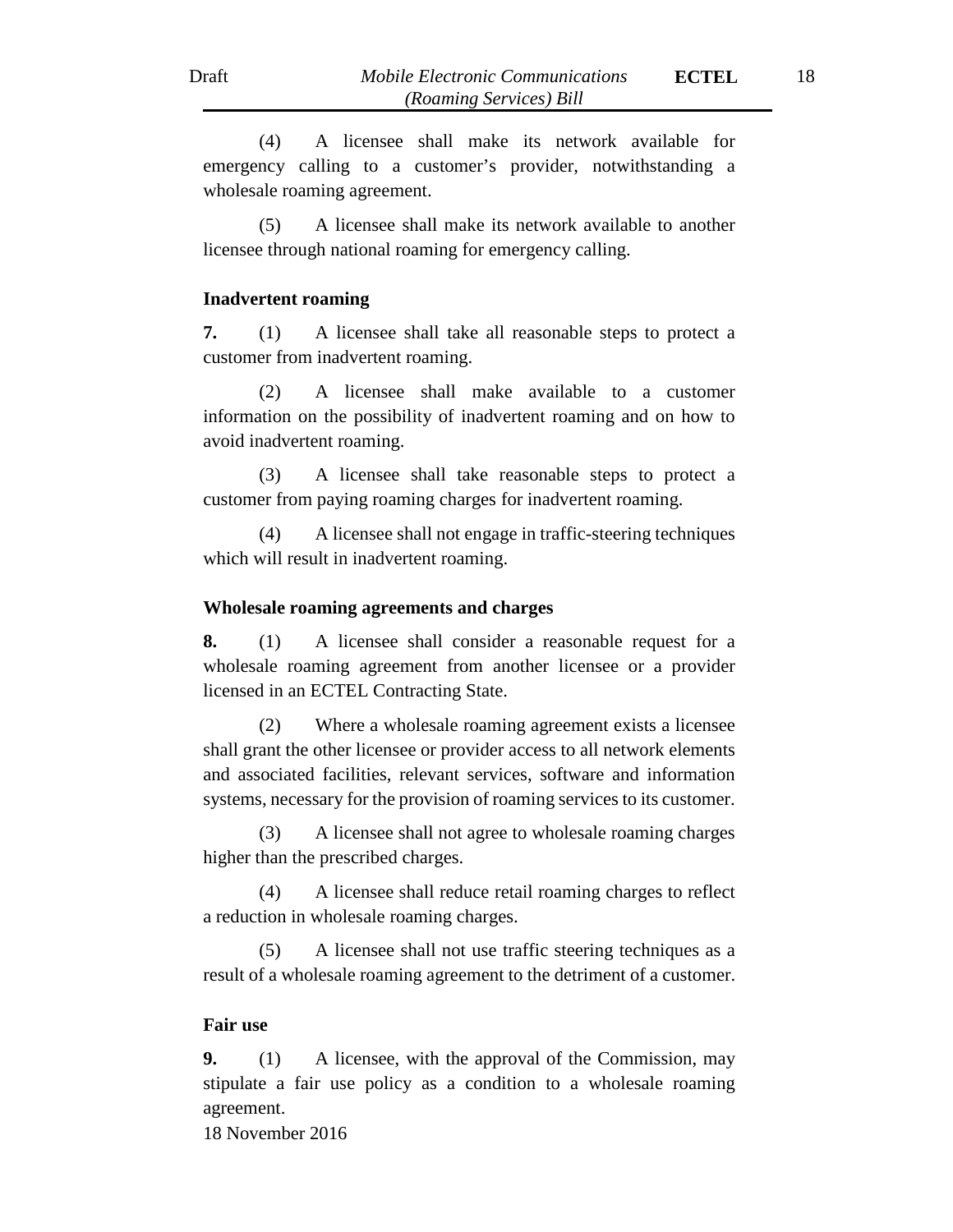(4) A licensee shall make its network available for emergency calling to a customer's provider, notwithstanding a wholesale roaming agreement.

(5) A licensee shall make its network available to another licensee through national roaming for emergency calling.

#### **Inadvertent roaming**

**7.** (1) A licensee shall take all reasonable steps to protect a customer from inadvertent roaming.

(2) A licensee shall make available to a customer information on the possibility of inadvertent roaming and on how to avoid inadvertent roaming.

(3) A licensee shall take reasonable steps to protect a customer from paying roaming charges for inadvertent roaming.

(4) A licensee shall not engage in traffic-steering techniques which will result in inadvertent roaming.

#### **Wholesale roaming agreements and charges**

**8.** (1) A licensee shall consider a reasonable request for a wholesale roaming agreement from another licensee or a provider licensed in an ECTEL Contracting State.

(2) Where a wholesale roaming agreement exists a licensee shall grant the other licensee or provider access to all network elements and associated facilities, relevant services, software and information systems, necessary for the provision of roaming services to its customer.

(3) A licensee shall not agree to wholesale roaming charges higher than the prescribed charges.

(4) A licensee shall reduce retail roaming charges to reflect a reduction in wholesale roaming charges.

(5) A licensee shall not use traffic steering techniques as a result of a wholesale roaming agreement to the detriment of a customer.

### **Fair use**

**9.** (1) A licensee, with the approval of the Commission, may stipulate a fair use policy as a condition to a wholesale roaming agreement.

18 November 2016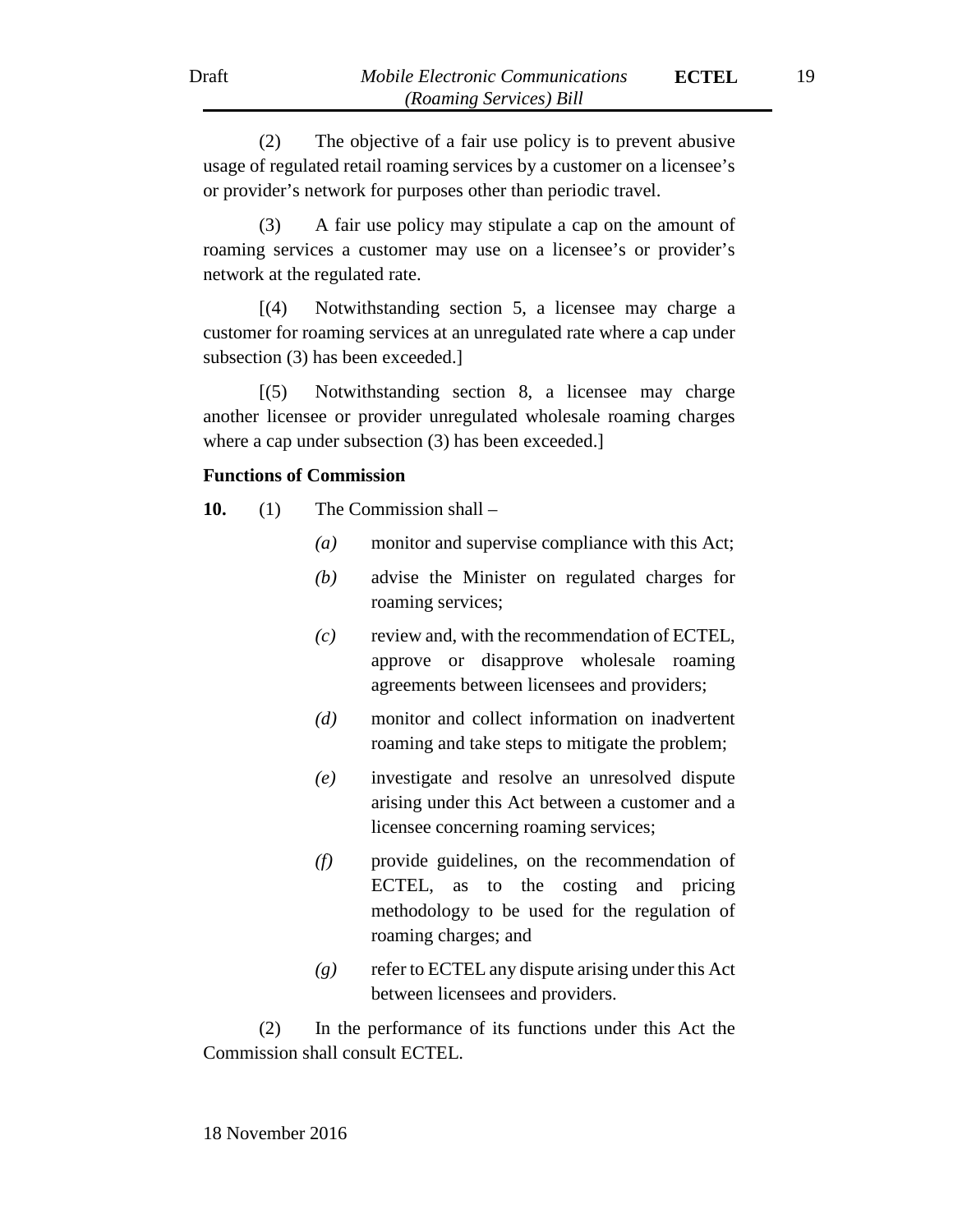(2) The objective of a fair use policy is to prevent abusive usage of regulated retail roaming services by a customer on a licensee's or provider's network for purposes other than periodic travel.

(3) A fair use policy may stipulate a cap on the amount of roaming services a customer may use on a licensee's or provider's network at the regulated rate.

[(4) Notwithstanding section 5, a licensee may charge a customer for roaming services at an unregulated rate where a cap under subsection (3) has been exceeded.]

[(5) Notwithstanding section 8, a licensee may charge another licensee or provider unregulated wholesale roaming charges where a cap under subsection (3) has been exceeded.]

## **Functions of Commission**

**10.** (1) The Commission shall –

- *(a)* monitor and supervise compliance with this Act;
- *(b)* advise the Minister on regulated charges for roaming services;
- *(c)* review and, with the recommendation of ECTEL, approve or disapprove wholesale roaming agreements between licensees and providers;
- *(d)* monitor and collect information on inadvertent roaming and take steps to mitigate the problem;
- *(e)* investigate and resolve an unresolved dispute arising under this Act between a customer and a licensee concerning roaming services;
- *(f)* provide guidelines, on the recommendation of ECTEL, as to the costing and pricing methodology to be used for the regulation of roaming charges; and
- *(g)* refer to ECTEL any dispute arising under this Act between licensees and providers.

(2) In the performance of its functions under this Act the Commission shall consult ECTEL.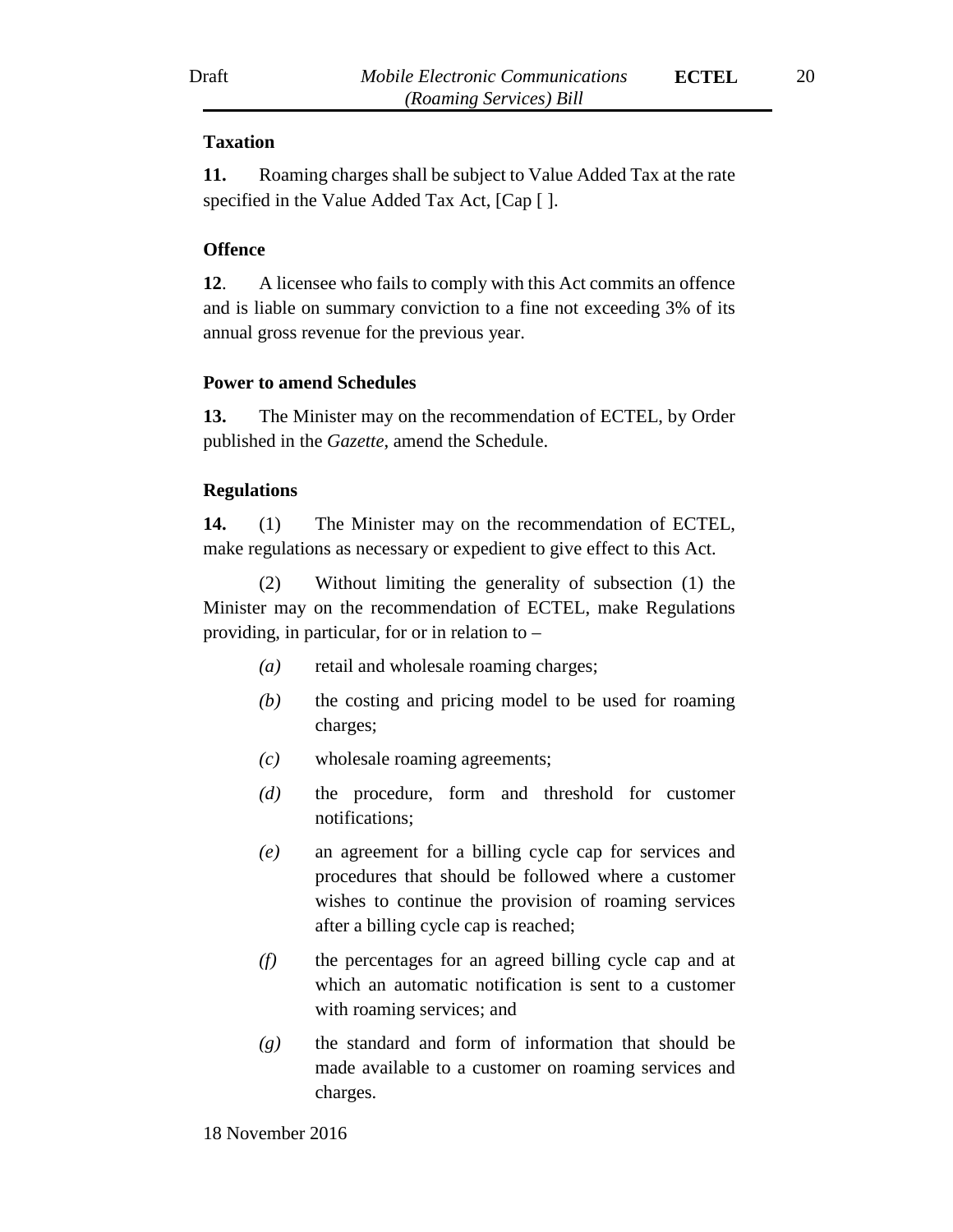### **Taxation**

**11.** Roaming charges shall be subject to Value Added Tax at the rate specified in the Value Added Tax Act, [Cap [ ].

### **Offence**

**12**. A licensee who fails to comply with this Act commits an offence and is liable on summary conviction to a fine not exceeding 3% of its annual gross revenue for the previous year.

#### **Power to amend Schedules**

**13.** The Minister may on the recommendation of ECTEL, by Order published in the *Gazette*, amend the Schedule.

#### **Regulations**

**14.** (1) The Minister may on the recommendation of ECTEL, make regulations as necessary or expedient to give effect to this Act.

(2) Without limiting the generality of subsection (1) the Minister may on the recommendation of ECTEL, make Regulations providing, in particular, for or in relation to –

- *(a)* retail and wholesale roaming charges;
- *(b)* the costing and pricing model to be used for roaming charges;
- *(c)* wholesale roaming agreements;
- *(d)* the procedure, form and threshold for customer notifications;
- *(e)* an agreement for a billing cycle cap for services and procedures that should be followed where a customer wishes to continue the provision of roaming services after a billing cycle cap is reached;
- *(f)* the percentages for an agreed billing cycle cap and at which an automatic notification is sent to a customer with roaming services; and
- *(g)* the standard and form of information that should be made available to a customer on roaming services and charges.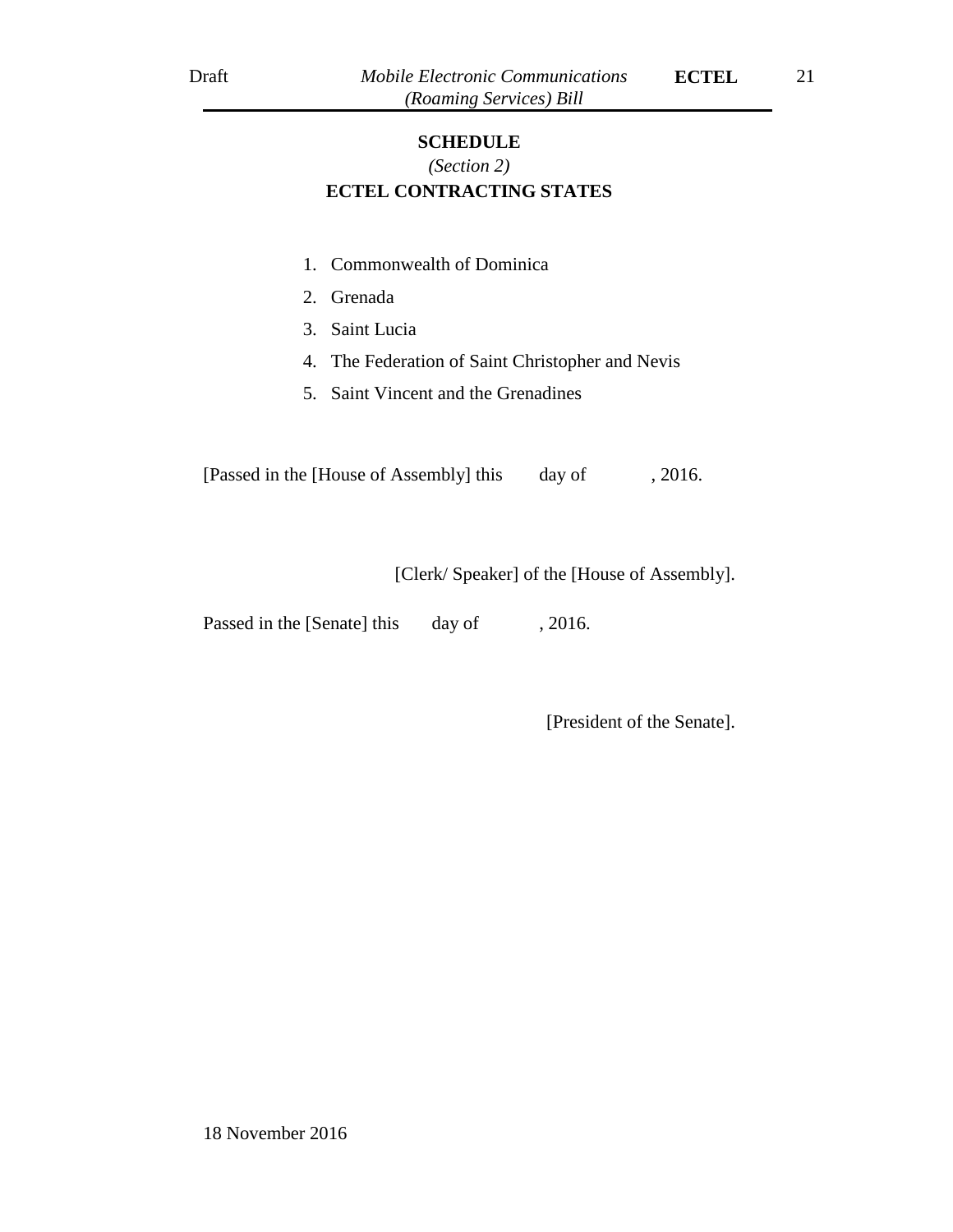### **SCHEDULE**

# *(Section 2)* **ECTEL CONTRACTING STATES**

- 1. Commonwealth of Dominica
- 2. Grenada
- 3. Saint Lucia
- 4. The Federation of Saint Christopher and Nevis
- 5. Saint Vincent and the Grenadines

[Passed in the [House of Assembly] this day of , 2016.

[Clerk/ Speaker] of the [House of Assembly].

Passed in the [Senate] this day of , 2016.

[President of the Senate].

18 November 2016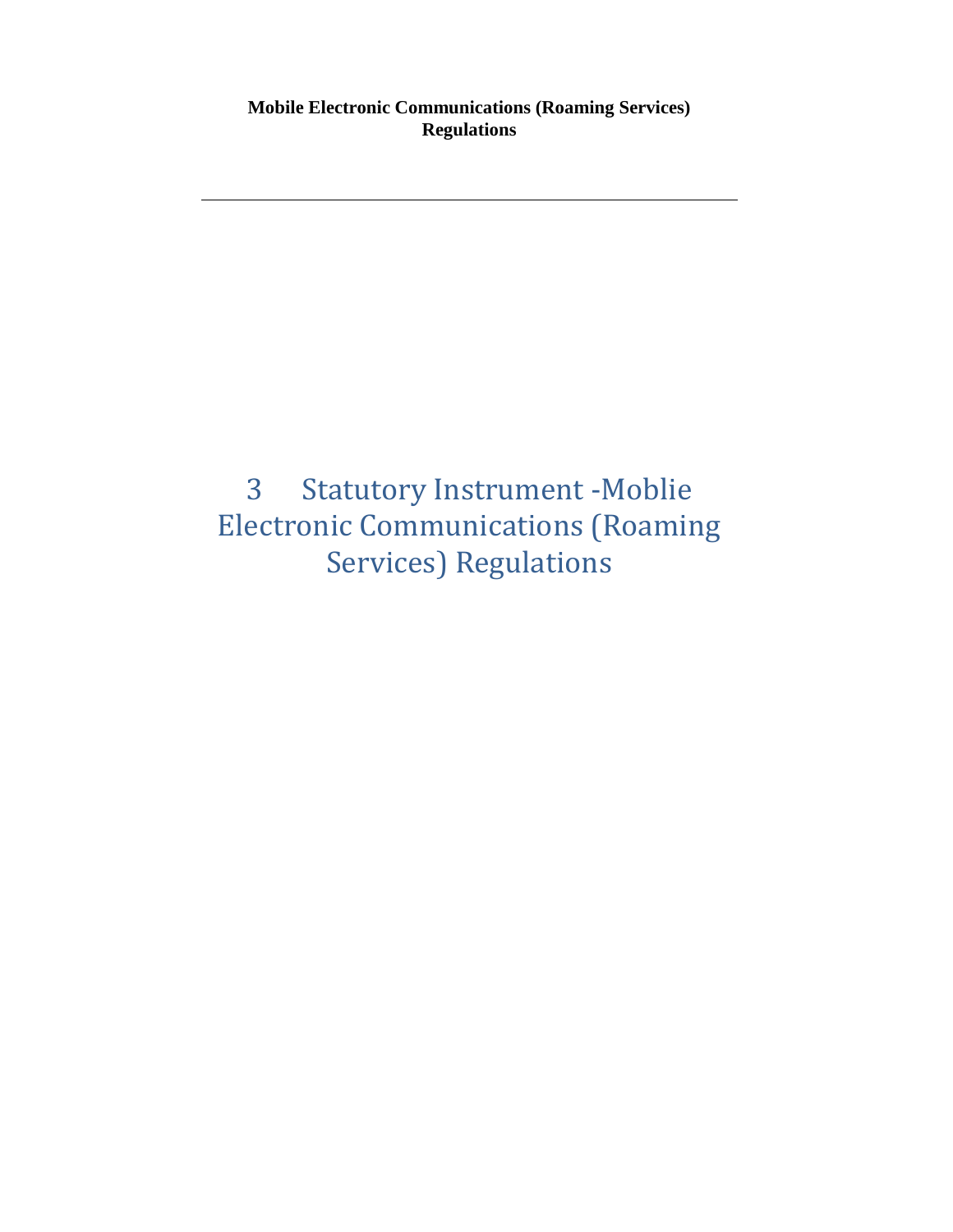# <span id="page-21-0"></span>3 Statutory Instrument -Moblie Electronic Communications (Roaming Services) Regulations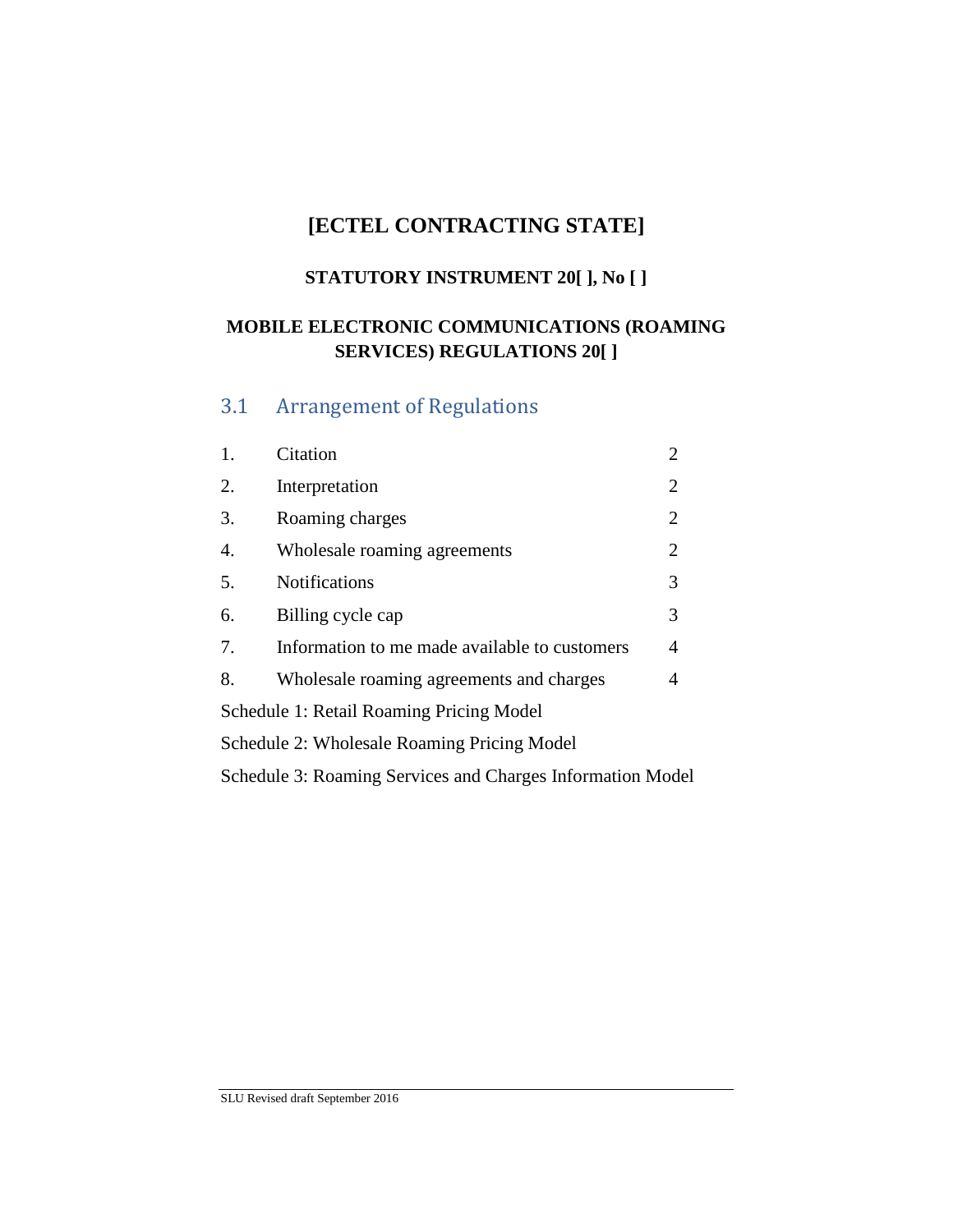# **[ECTEL CONTRACTING STATE]**

# **STATUTORY INSTRUMENT 20[ ], No [ ]**

# **MOBILE ELECTRONIC COMMUNICATIONS (ROAMING SERVICES) REGULATIONS 20[ ]**

# <span id="page-22-0"></span>3.1 Arrangement of Regulations

| 1.                                                         | Citation                                       | 2              |  |  |  |
|------------------------------------------------------------|------------------------------------------------|----------------|--|--|--|
| 2.                                                         | Interpretation                                 |                |  |  |  |
| 3.                                                         | Roaming charges                                |                |  |  |  |
| $\overline{4}$ .                                           | $\overline{2}$<br>Wholesale roaming agreements |                |  |  |  |
| 5.                                                         | <b>Notifications</b>                           | 3              |  |  |  |
| 6.                                                         | Billing cycle cap                              | 3              |  |  |  |
| 7.                                                         | Information to me made available to customers  | $\overline{4}$ |  |  |  |
| 8.                                                         | Wholesale roaming agreements and charges       | 4              |  |  |  |
| Schedule 1: Retail Roaming Pricing Model                   |                                                |                |  |  |  |
|                                                            | Schedule 2: Wholesale Roaming Pricing Model    |                |  |  |  |
| Schedule 3: Roaming Services and Charges Information Model |                                                |                |  |  |  |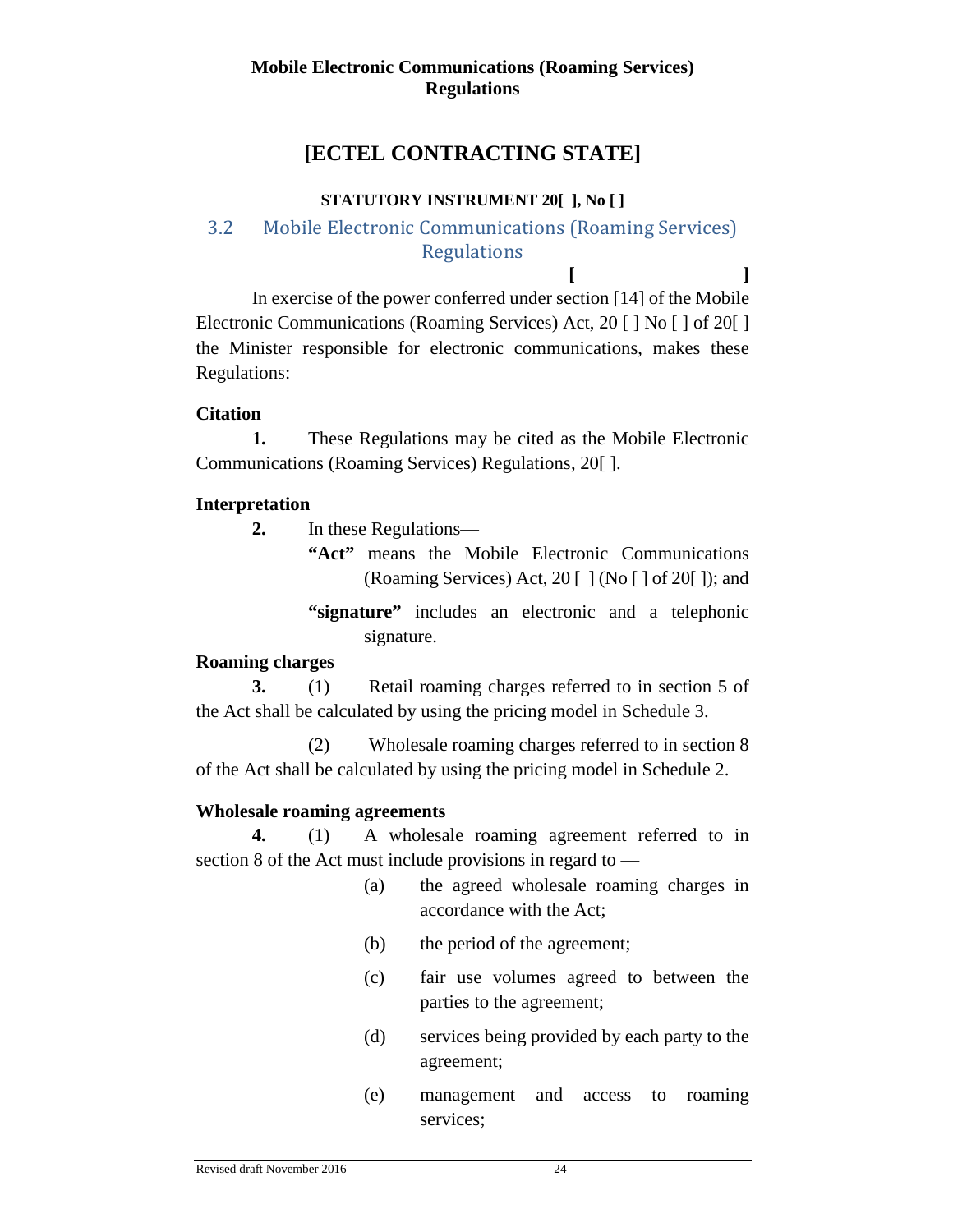# **[ECTEL CONTRACTING STATE]**

# **STATUTORY INSTRUMENT 20[ ], No [ ]**

# <span id="page-23-0"></span>3.2 Mobile Electronic Communications (Roaming Services) **Regulations**

**[ ]** In exercise of the power conferred under section [14] of the Mobile Electronic Communications (Roaming Services) Act, 20 [ ] No [ ] of 20[ ] the Minister responsible for electronic communications, makes these Regulations:

# **Citation**

**1.** These Regulations may be cited as the Mobile Electronic Communications (Roaming Services) Regulations, 20[ ].

# **Interpretation**

**2.** In these Regulations—

- **"Act"** means the Mobile Electronic Communications (Roaming Services) Act,  $20$  [ ] (No [ ] of  $20$  [ ]); and
- **"signature"** includes an electronic and a telephonic signature.

# **Roaming charges**

**3.** (1) Retail roaming charges referred to in section 5 of the Act shall be calculated by using the pricing model in Schedule 3.

(2) Wholesale roaming charges referred to in section 8 of the Act shall be calculated by using the pricing model in Schedule 2.

# **Wholesale roaming agreements**

**4.** (1) A wholesale roaming agreement referred to in section 8 of the Act must include provisions in regard to —

- (a) the agreed wholesale roaming charges in accordance with the Act;
- (b) the period of the agreement;
- (c) fair use volumes agreed to between the parties to the agreement;
- (d) services being provided by each party to the agreement;
- (e) management and access to roaming services;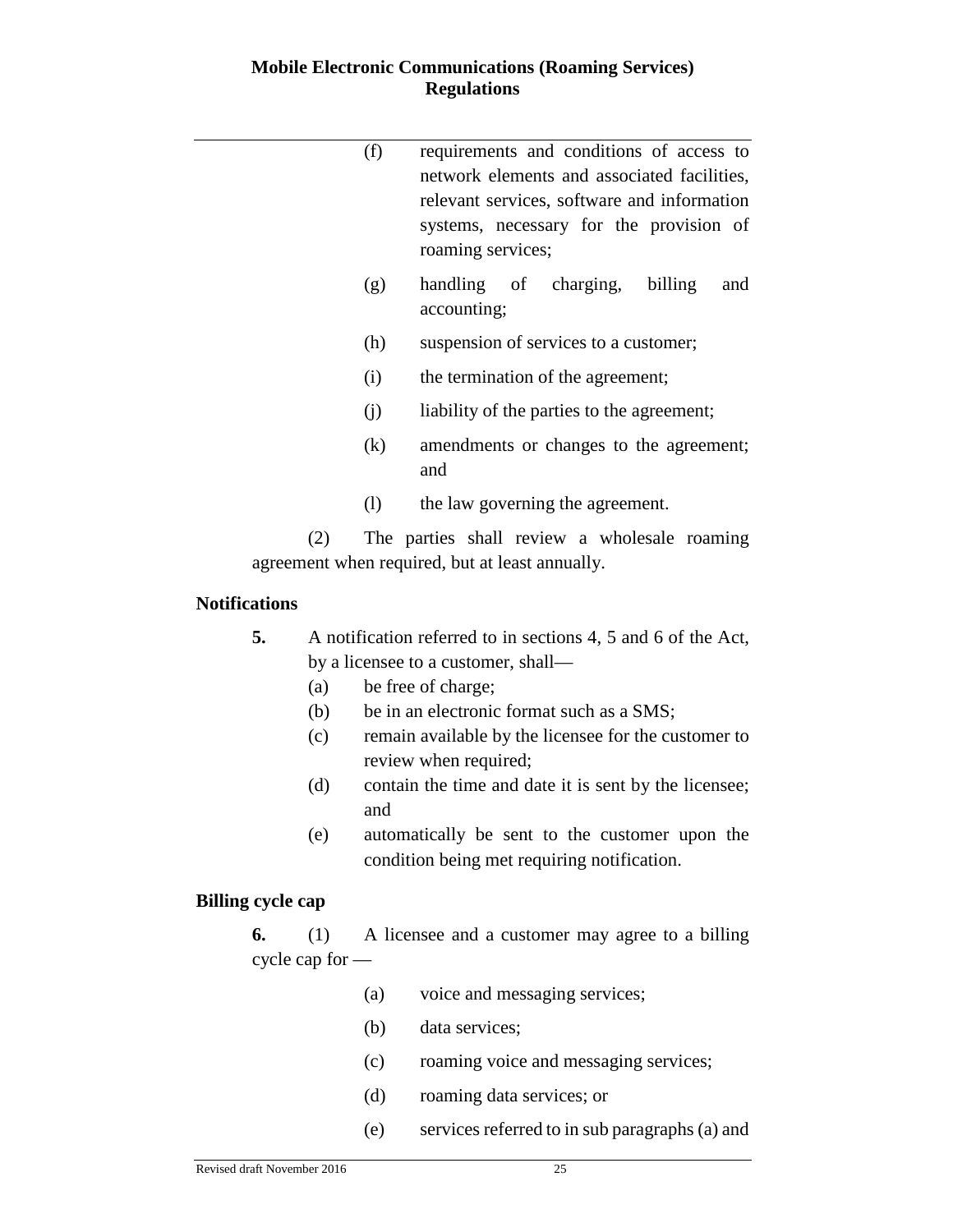# **Mobile Electronic Communications (Roaming Services) Regulations**

|                                                 | (f) | requirements and conditions of access to<br>network elements and associated facilities,<br>relevant services, software and information<br>systems, necessary for the provision of<br>roaming services; |  |  |  |
|-------------------------------------------------|-----|--------------------------------------------------------------------------------------------------------------------------------------------------------------------------------------------------------|--|--|--|
|                                                 | (g) | handling of charging,<br>billing<br>and<br>accounting;                                                                                                                                                 |  |  |  |
|                                                 | (h) | suspension of services to a customer;                                                                                                                                                                  |  |  |  |
|                                                 | (i) | the termination of the agreement;                                                                                                                                                                      |  |  |  |
|                                                 | (j) | liability of the parties to the agreement;                                                                                                                                                             |  |  |  |
|                                                 | (k) | amendments or changes to the agreement;<br>and                                                                                                                                                         |  |  |  |
|                                                 | (1) | the law governing the agreement.                                                                                                                                                                       |  |  |  |
|                                                 | (2) | The parties shall review a wholesale roaming                                                                                                                                                           |  |  |  |
| agreement when required, but at least annually. |     |                                                                                                                                                                                                        |  |  |  |
| <b>Notifications</b>                            |     |                                                                                                                                                                                                        |  |  |  |
| 5.                                              | (a) | A notification referred to in sections 4, 5 and 6 of the Act,<br>by a licensee to a customer, shall—<br>be free of charge;                                                                             |  |  |  |

- (b) be in an electronic format such as a SMS;
- (c) remain available by the licensee for the customer to review when required;
- (d) contain the time and date it is sent by the licensee; and
- (e) automatically be sent to the customer upon the condition being met requiring notification.

# **Billing cycle cap**

**6.** (1) A licensee and a customer may agree to a billing cycle cap for —

- (a) voice and messaging services;
- (b) data services;
- (c) roaming voice and messaging services;
- (d) roaming data services; or
- (e) services referred to in sub paragraphs (a) and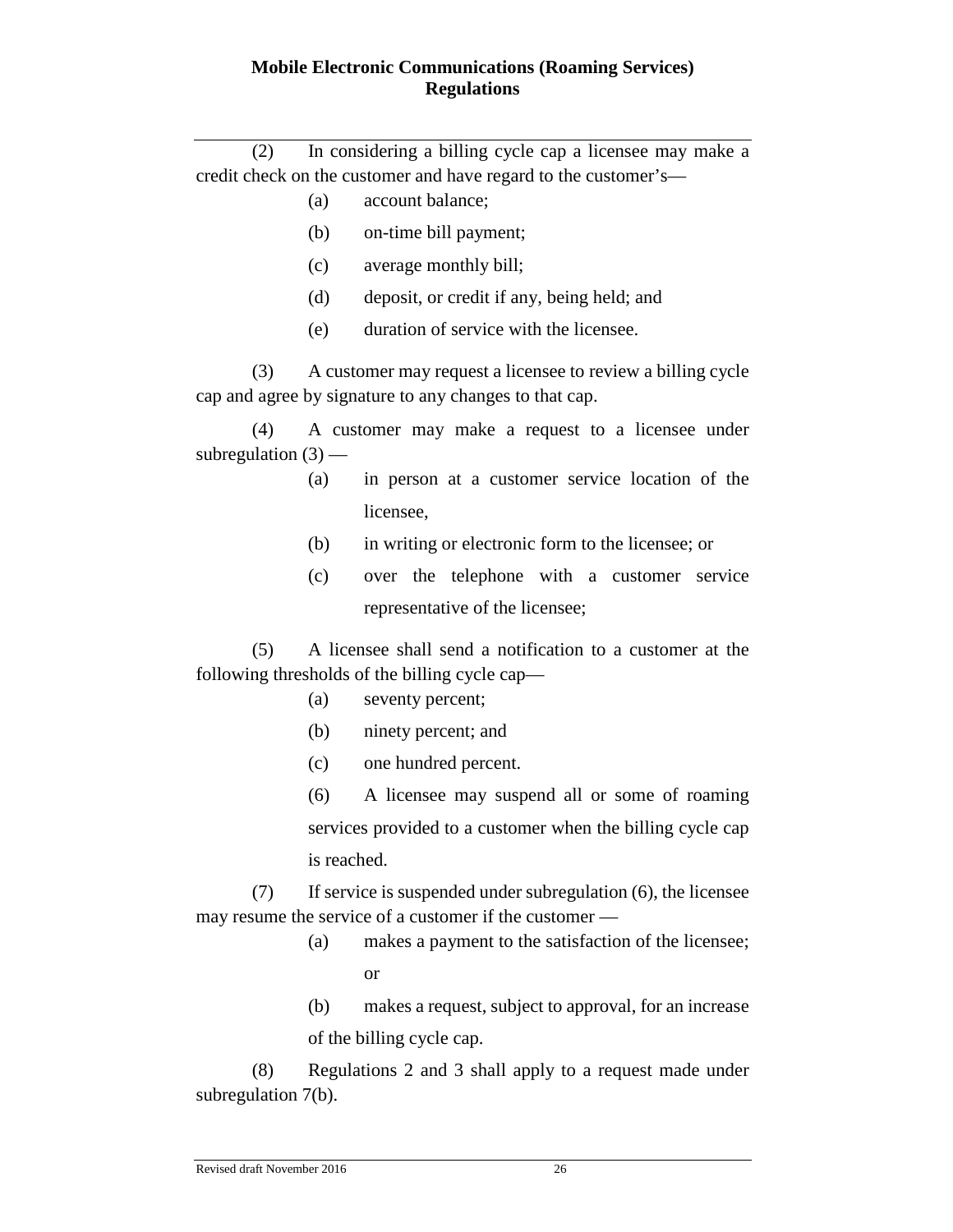# **Mobile Electronic Communications (Roaming Services) Regulations**

(2) In considering a billing cycle cap a licensee may make a credit check on the customer and have regard to the customer's—

- (a) account balance;
- (b) on-time bill payment;
- (c) average monthly bill;
- (d) deposit, or credit if any, being held; and
- (e) duration of service with the licensee.

(3) A customer may request a licensee to review a billing cycle cap and agree by signature to any changes to that cap.

(4) A customer may make a request to a licensee under subregulation  $(3)$  —

- (a) in person at a customer service location of the licensee,
- (b) in writing or electronic form to the licensee; or
- (c) over the telephone with a customer service representative of the licensee;

(5) A licensee shall send a notification to a customer at the following thresholds of the billing cycle cap—

- (a) seventy percent;
- (b) ninety percent; and
- (c) one hundred percent.

(6) A licensee may suspend all or some of roaming services provided to a customer when the billing cycle cap is reached.

(7) If service is suspended under subregulation (6), the licensee may resume the service of a customer if the customer —

- (a) makes a payment to the satisfaction of the licensee; or
- (b) makes a request, subject to approval, for an increase of the billing cycle cap.

(8) Regulations 2 and 3 shall apply to a request made under subregulation 7(b).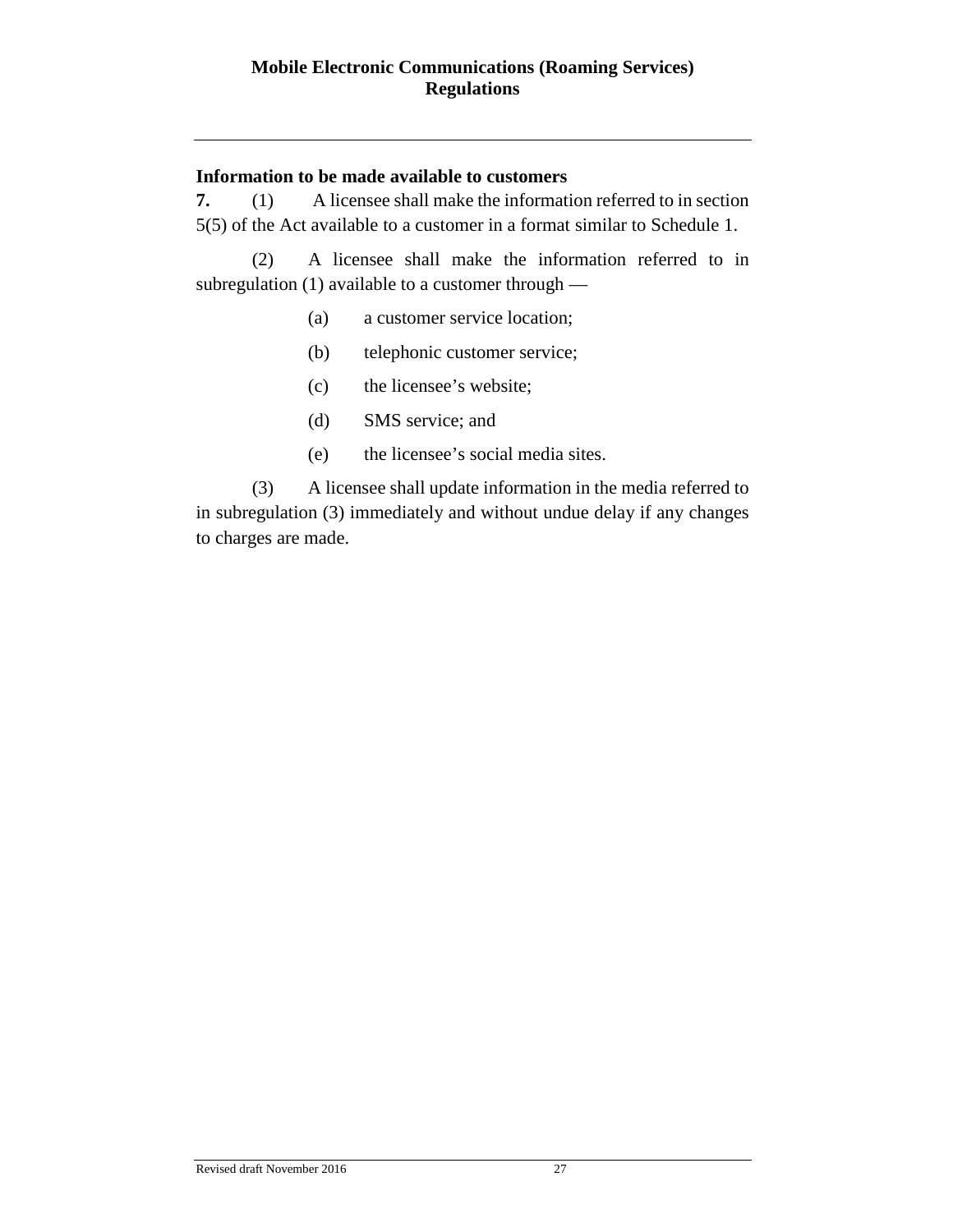# **Information to be made available to customers**

**7.** (1) A licensee shall make the information referred to in section 5(5) of the Act available to a customer in a format similar to Schedule 1.

(2) A licensee shall make the information referred to in subregulation (1) available to a customer through —

- (a) a customer service location;
- (b) telephonic customer service;
- (c) the licensee's website;
- (d) SMS service; and
- (e) the licensee's social media sites.

(3) A licensee shall update information in the media referred to in subregulation (3) immediately and without undue delay if any changes to charges are made.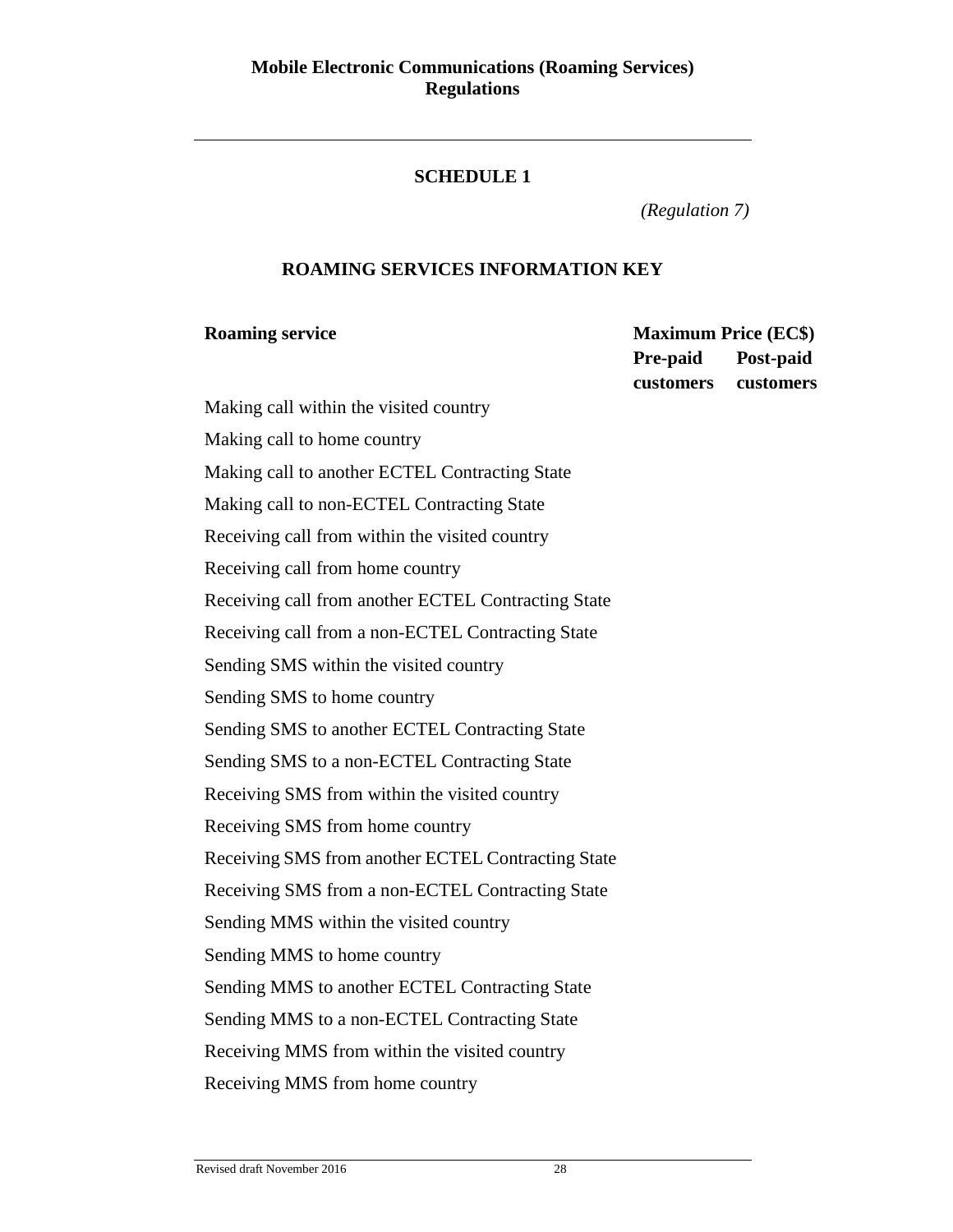# **SCHEDULE 1**

*(Regulation 7)*

# **ROAMING SERVICES INFORMATION KEY**

**Roaming service Maximum Price (EC\$) Pre-paid customers Post-paid customers**

Making call within the visited country Making call to home country Making call to another ECTEL Contracting State Making call to non-ECTEL Contracting State Receiving call from within the visited country Receiving call from home country Receiving call from another ECTEL Contracting State Receiving call from a non-ECTEL Contracting State Sending SMS within the visited country Sending SMS to home country Sending SMS to another ECTEL Contracting State Sending SMS to a non-ECTEL Contracting State Receiving SMS from within the visited country Receiving SMS from home country Receiving SMS from another ECTEL Contracting State Receiving SMS from a non-ECTEL Contracting State Sending MMS within the visited country Sending MMS to home country Sending MMS to another ECTEL Contracting State Sending MMS to a non-ECTEL Contracting State Receiving MMS from within the visited country Receiving MMS from home country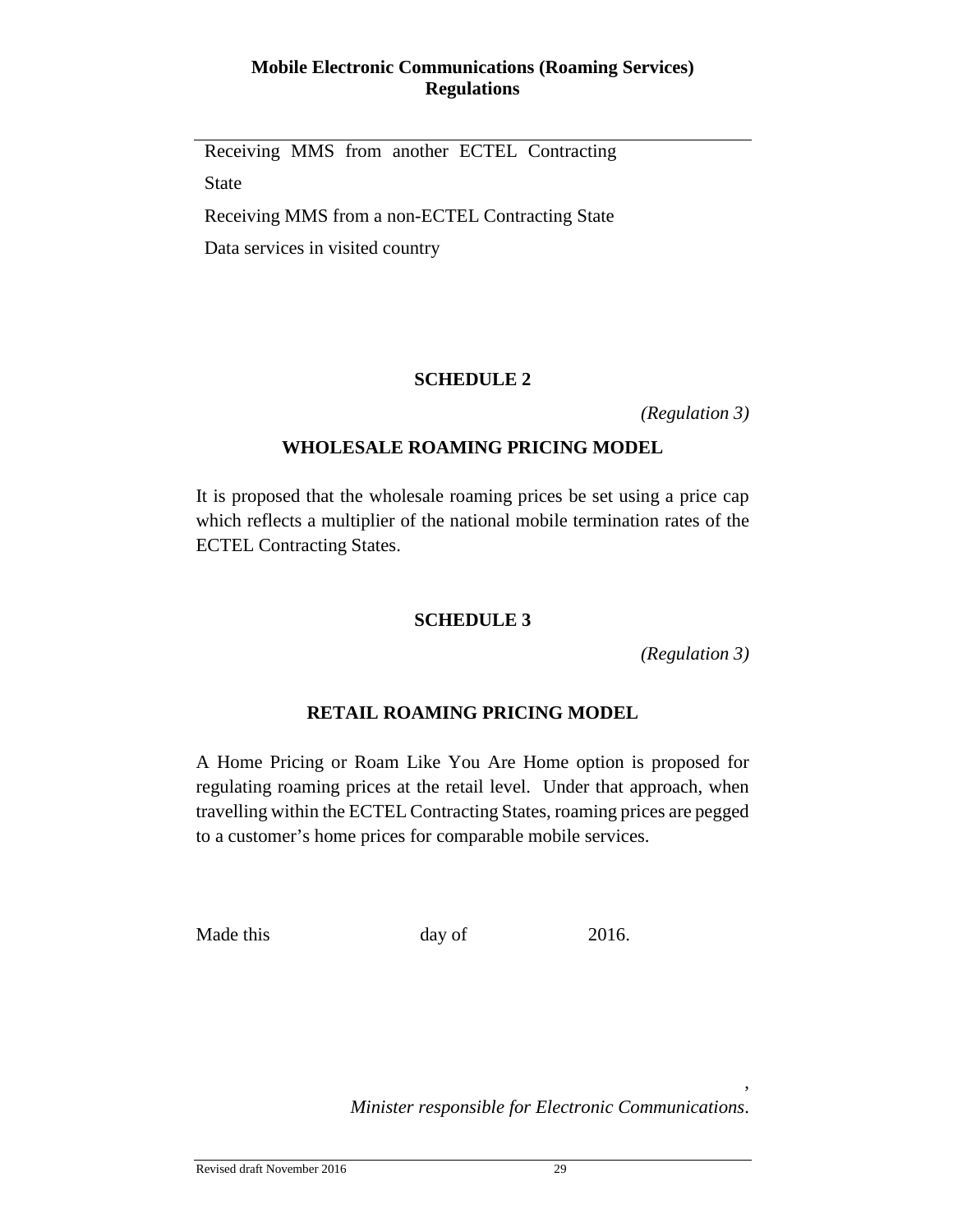# **Mobile Electronic Communications (Roaming Services) Regulations**

Receiving MMS from another ECTEL Contracting State Receiving MMS from a non-ECTEL Contracting State Data services in visited country

# **SCHEDULE 2**

*(Regulation 3)*

# **WHOLESALE ROAMING PRICING MODEL**

It is proposed that the wholesale roaming prices be set using a price cap which reflects a multiplier of the national mobile termination rates of the ECTEL Contracting States.

# **SCHEDULE 3**

*(Regulation 3)*

,

# **RETAIL ROAMING PRICING MODEL**

A Home Pricing or Roam Like You Are Home option is proposed for regulating roaming prices at the retail level. Under that approach, when travelling within the ECTEL Contracting States, roaming prices are pegged to a customer's home prices for comparable mobile services.

Made this day of 2016.

*Minister responsible for Electronic Communications*.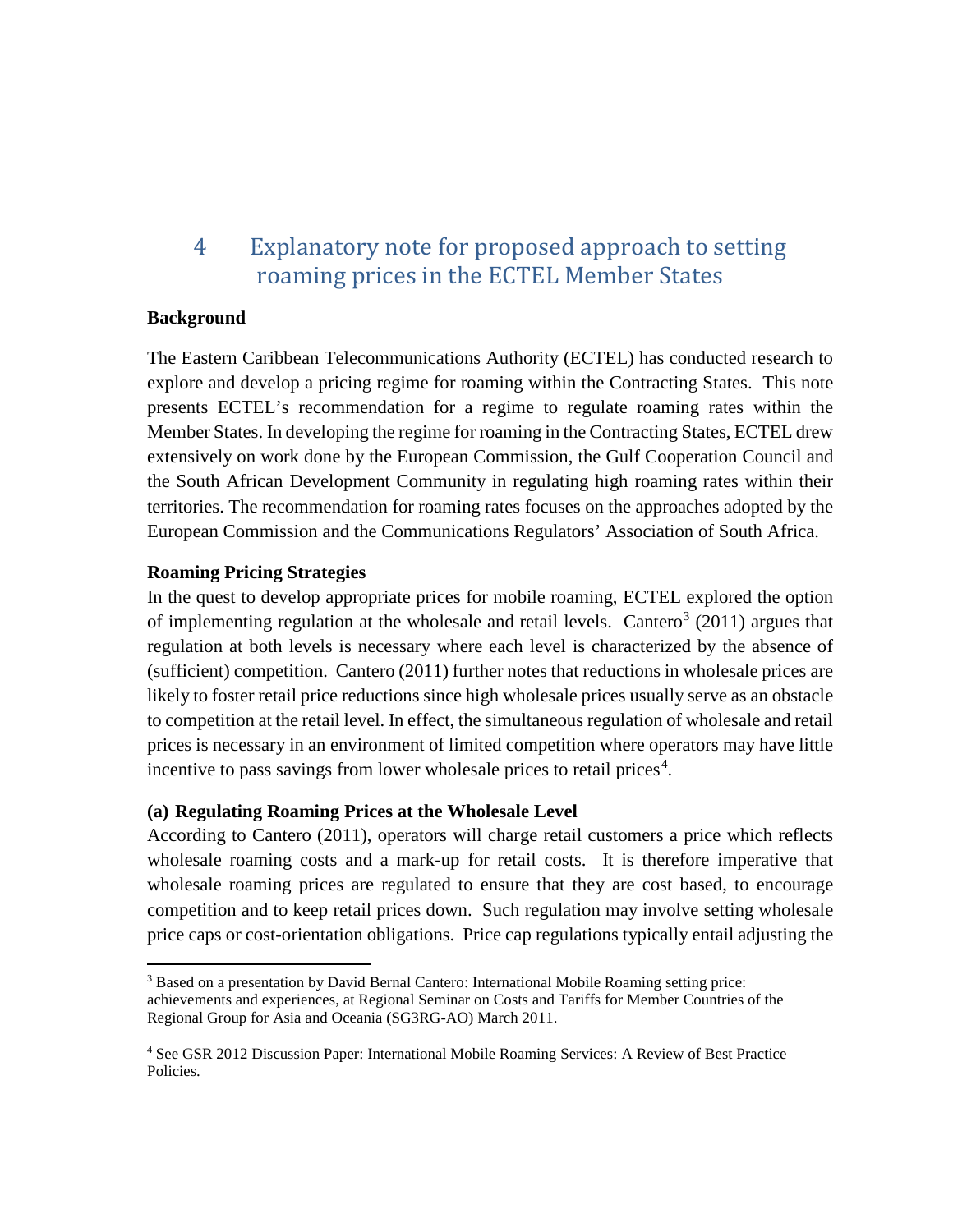# <span id="page-29-0"></span>4 Explanatory note for proposed approach to setting roaming prices in the ECTEL Member States

## **Background**

The Eastern Caribbean Telecommunications Authority (ECTEL) has conducted research to explore and develop a pricing regime for roaming within the Contracting States. This note presents ECTEL's recommendation for a regime to regulate roaming rates within the Member States. In developing the regime for roaming in the Contracting States, ECTEL drew extensively on work done by the European Commission, the Gulf Cooperation Council and the South African Development Community in regulating high roaming rates within their territories. The recommendation for roaming rates focuses on the approaches adopted by the European Commission and the Communications Regulators' Association of South Africa.

# **Roaming Pricing Strategies**

In the quest to develop appropriate prices for mobile roaming, ECTEL explored the option of implementing regulation at the wholesale and retail levels. Cantero<sup>[3](#page-29-1)</sup> (2011) argues that regulation at both levels is necessary where each level is characterized by the absence of (sufficient) competition. Cantero (2011) further notes that reductions in wholesale prices are likely to foster retail price reductions since high wholesale prices usually serve as an obstacle to competition at the retail level. In effect, the simultaneous regulation of wholesale and retail prices is necessary in an environment of limited competition where operators may have little incentive to pass savings from lower wholesale prices to retail prices<sup>[4](#page-29-2)</sup>.

# **(a) Regulating Roaming Prices at the Wholesale Level**

According to Cantero (2011), operators will charge retail customers a price which reflects wholesale roaming costs and a mark-up for retail costs. It is therefore imperative that wholesale roaming prices are regulated to ensure that they are cost based, to encourage competition and to keep retail prices down. Such regulation may involve setting wholesale price caps or cost-orientation obligations. Price cap regulations typically entail adjusting the

<span id="page-29-1"></span> <sup>3</sup> Based on a presentation by David Bernal Cantero: International Mobile Roaming setting price: achievements and experiences, at Regional Seminar on Costs and Tariffs for Member Countries of the Regional Group for Asia and Oceania (SG3RG-AO) March 2011.

<span id="page-29-2"></span><sup>4</sup> See GSR 2012 Discussion Paper: International Mobile Roaming Services: A Review of Best Practice Policies.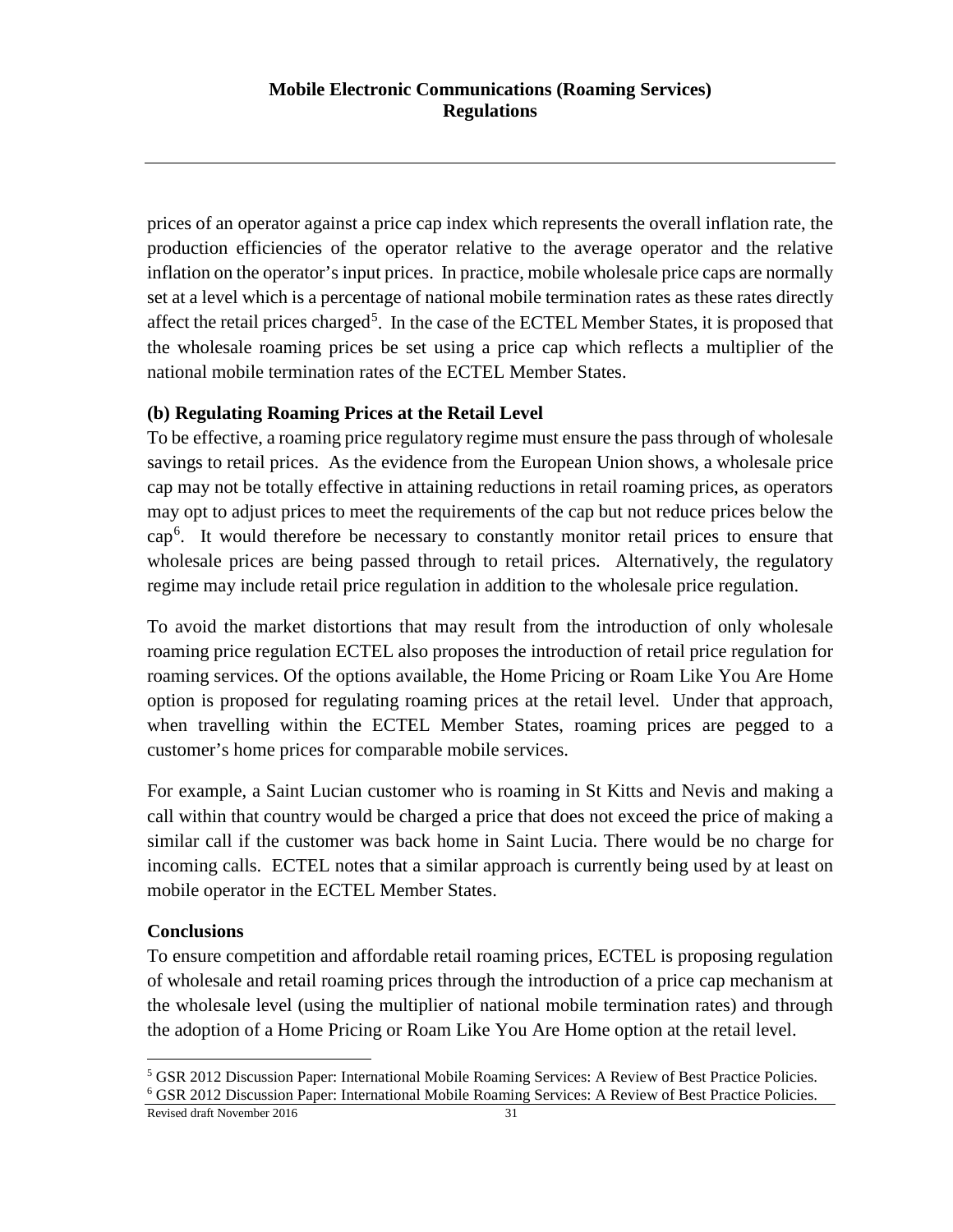prices of an operator against a price cap index which represents the overall inflation rate, the production efficiencies of the operator relative to the average operator and the relative inflation on the operator's input prices. In practice, mobile wholesale price caps are normally set at a level which is a percentage of national mobile termination rates as these rates directly affect the retail prices charged<sup>[5](#page-30-0)</sup>. In the case of the ECTEL Member States, it is proposed that the wholesale roaming prices be set using a price cap which reflects a multiplier of the national mobile termination rates of the ECTEL Member States.

# **(b) Regulating Roaming Prices at the Retail Level**

To be effective, a roaming price regulatory regime must ensure the pass through of wholesale savings to retail prices. As the evidence from the European Union shows, a wholesale price cap may not be totally effective in attaining reductions in retail roaming prices, as operators may opt to adjust prices to meet the requirements of the cap but not reduce prices below the cap[6](#page-30-1) . It would therefore be necessary to constantly monitor retail prices to ensure that wholesale prices are being passed through to retail prices. Alternatively, the regulatory regime may include retail price regulation in addition to the wholesale price regulation.

To avoid the market distortions that may result from the introduction of only wholesale roaming price regulation ECTEL also proposes the introduction of retail price regulation for roaming services. Of the options available, the Home Pricing or Roam Like You Are Home option is proposed for regulating roaming prices at the retail level. Under that approach, when travelling within the ECTEL Member States, roaming prices are pegged to a customer's home prices for comparable mobile services.

For example, a Saint Lucian customer who is roaming in St Kitts and Nevis and making a call within that country would be charged a price that does not exceed the price of making a similar call if the customer was back home in Saint Lucia. There would be no charge for incoming calls. ECTEL notes that a similar approach is currently being used by at least on mobile operator in the ECTEL Member States.

# **Conclusions**

To ensure competition and affordable retail roaming prices, ECTEL is proposing regulation of wholesale and retail roaming prices through the introduction of a price cap mechanism at the wholesale level (using the multiplier of national mobile termination rates) and through the adoption of a Home Pricing or Roam Like You Are Home option at the retail level.

<span id="page-30-0"></span> <sup>5</sup> GSR 2012 Discussion Paper: International Mobile Roaming Services: A Review of Best Practice Policies.

<span id="page-30-1"></span><sup>6</sup> GSR 2012 Discussion Paper: International Mobile Roaming Services: A Review of Best Practice Policies.